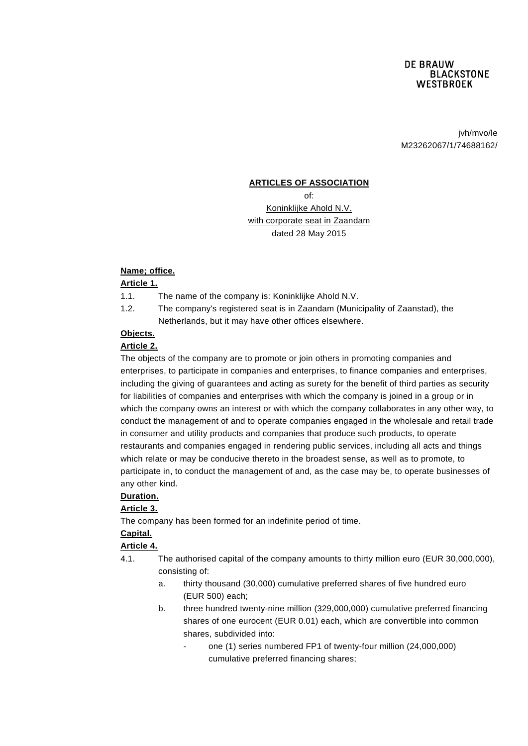jvh/mvo/le M23262067/1/74688162/

#### **ARTICLES OF ASSOCIATION**

of:

Koninklijke Ahold N.V. with corporate seat in Zaandam dated 28 May 2015

#### **Name; office.**

### **Article 1.**

1.1. The name of the company is: Koninklijke Ahold N.V.

1.2. The company's registered seat is in Zaandam (Municipality of Zaanstad), the Netherlands, but it may have other offices elsewhere.

# **Objects.**

## **Article 2.**

The objects of the company are to promote or join others in promoting companies and enterprises, to participate in companies and enterprises, to finance companies and enterprises, including the giving of guarantees and acting as surety for the benefit of third parties as security for liabilities of companies and enterprises with which the company is joined in a group or in which the company owns an interest or with which the company collaborates in any other way, to conduct the management of and to operate companies engaged in the wholesale and retail trade in consumer and utility products and companies that produce such products, to operate restaurants and companies engaged in rendering public services, including all acts and things which relate or may be conducive thereto in the broadest sense, as well as to promote, to participate in, to conduct the management of and, as the case may be, to operate businesses of any other kind.

### **Duration.**

### **Article 3.**

The company has been formed for an indefinite period of time.

### **Capital.**

### **Article 4.**

- 4.1. The authorised capital of the company amounts to thirty million euro (EUR 30,000,000), consisting of:
	- a. thirty thousand (30,000) cumulative preferred shares of five hundred euro (EUR 500) each;
	- b. three hundred twenty-nine million (329,000,000) cumulative preferred financing shares of one eurocent (EUR 0.01) each, which are convertible into common shares, subdivided into:
		- one (1) series numbered FP1 of twenty-four million (24,000,000) cumulative preferred financing shares;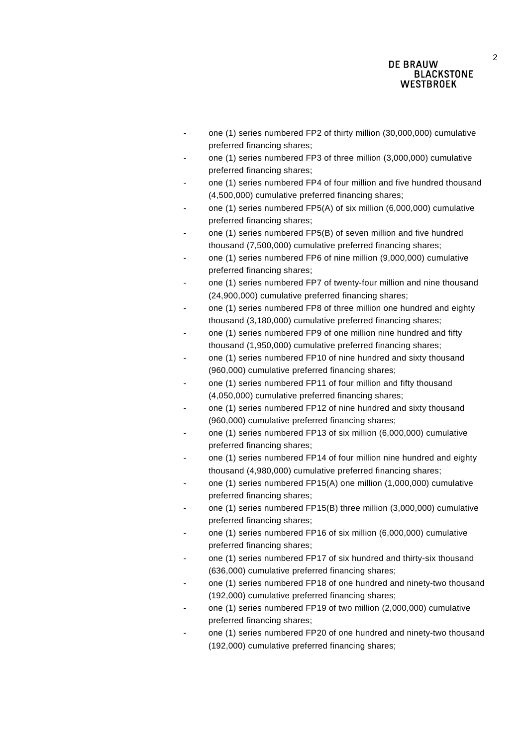- one (1) series numbered FP2 of thirty million (30,000,000) cumulative preferred financing shares;
- one (1) series numbered FP3 of three million (3,000,000) cumulative preferred financing shares;
- one (1) series numbered FP4 of four million and five hundred thousand (4,500,000) cumulative preferred financing shares;
- one (1) series numbered FP5(A) of six million (6,000,000) cumulative preferred financing shares;
- one (1) series numbered FP5(B) of seven million and five hundred thousand (7,500,000) cumulative preferred financing shares;
- one (1) series numbered FP6 of nine million (9,000,000) cumulative preferred financing shares;
- one (1) series numbered FP7 of twenty-four million and nine thousand (24,900,000) cumulative preferred financing shares;
- one (1) series numbered FP8 of three million one hundred and eighty thousand (3,180,000) cumulative preferred financing shares;
- one (1) series numbered FP9 of one million nine hundred and fifty thousand (1,950,000) cumulative preferred financing shares;
- one (1) series numbered FP10 of nine hundred and sixty thousand (960,000) cumulative preferred financing shares;
- one (1) series numbered FP11 of four million and fifty thousand (4,050,000) cumulative preferred financing shares;
- one (1) series numbered FP12 of nine hundred and sixty thousand (960,000) cumulative preferred financing shares;
- one (1) series numbered FP13 of six million (6,000,000) cumulative preferred financing shares;
- one (1) series numbered FP14 of four million nine hundred and eighty thousand (4,980,000) cumulative preferred financing shares;
- one (1) series numbered FP15(A) one million (1,000,000) cumulative preferred financing shares;
- one (1) series numbered FP15(B) three million (3,000,000) cumulative preferred financing shares;
- one (1) series numbered FP16 of six million (6,000,000) cumulative preferred financing shares;
- one (1) series numbered FP17 of six hundred and thirty-six thousand (636,000) cumulative preferred financing shares;
- one (1) series numbered FP18 of one hundred and ninety-two thousand (192,000) cumulative preferred financing shares;
- one (1) series numbered FP19 of two million (2,000,000) cumulative preferred financing shares;
- one (1) series numbered FP20 of one hundred and ninety-two thousand (192,000) cumulative preferred financing shares;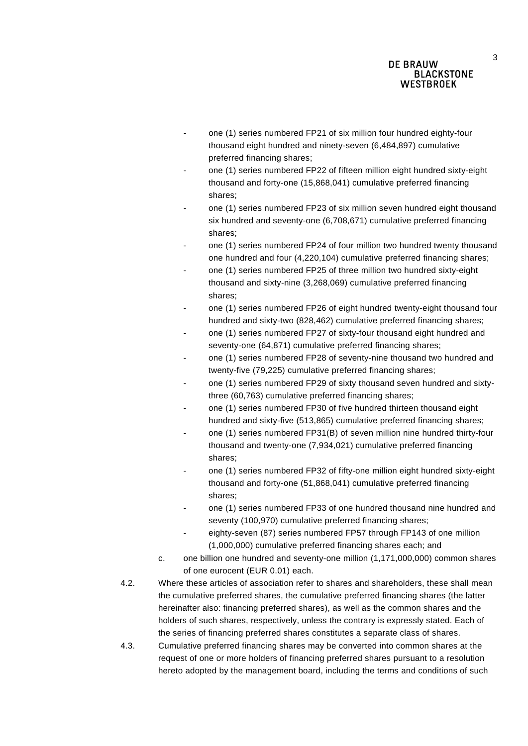- one (1) series numbered FP21 of six million four hundred eighty-four thousand eight hundred and ninety-seven (6,484,897) cumulative preferred financing shares;
- one (1) series numbered FP22 of fifteen million eight hundred sixty-eight thousand and forty-one (15,868,041) cumulative preferred financing shares;
- one (1) series numbered FP23 of six million seven hundred eight thousand six hundred and seventy-one (6,708,671) cumulative preferred financing shares;
- one (1) series numbered FP24 of four million two hundred twenty thousand one hundred and four (4,220,104) cumulative preferred financing shares;
- one (1) series numbered FP25 of three million two hundred sixty-eight thousand and sixty-nine (3,268,069) cumulative preferred financing shares;
- one (1) series numbered FP26 of eight hundred twenty-eight thousand four hundred and sixty-two (828,462) cumulative preferred financing shares;
- one (1) series numbered FP27 of sixty-four thousand eight hundred and seventy-one (64,871) cumulative preferred financing shares;
- one (1) series numbered FP28 of seventy-nine thousand two hundred and twenty-five (79,225) cumulative preferred financing shares;
- one (1) series numbered FP29 of sixty thousand seven hundred and sixtythree (60,763) cumulative preferred financing shares;
- one (1) series numbered FP30 of five hundred thirteen thousand eight hundred and sixty-five (513,865) cumulative preferred financing shares;
- one (1) series numbered FP31(B) of seven million nine hundred thirty-four thousand and twenty-one (7,934,021) cumulative preferred financing shares;
- one (1) series numbered FP32 of fifty-one million eight hundred sixty-eight thousand and forty-one (51,868,041) cumulative preferred financing shares;
- one (1) series numbered FP33 of one hundred thousand nine hundred and seventy (100,970) cumulative preferred financing shares;
- eighty-seven (87) series numbered FP57 through FP143 of one million (1,000,000) cumulative preferred financing shares each; and
- c. one billion one hundred and seventy-one million (1,171,000,000) common shares of one eurocent (EUR 0.01) each.
- 4.2. Where these articles of association refer to shares and shareholders, these shall mean the cumulative preferred shares, the cumulative preferred financing shares (the latter hereinafter also: financing preferred shares), as well as the common shares and the holders of such shares, respectively, unless the contrary is expressly stated. Each of the series of financing preferred shares constitutes a separate class of shares.
- 4.3. Cumulative preferred financing shares may be converted into common shares at the request of one or more holders of financing preferred shares pursuant to a resolution hereto adopted by the management board, including the terms and conditions of such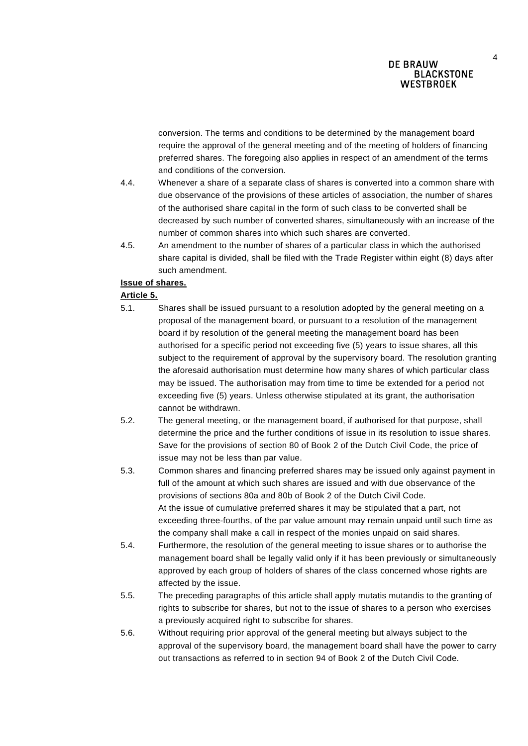conversion. The terms and conditions to be determined by the management board require the approval of the general meeting and of the meeting of holders of financing preferred shares. The foregoing also applies in respect of an amendment of the terms and conditions of the conversion.

- 4.4. Whenever a share of a separate class of shares is converted into a common share with due observance of the provisions of these articles of association, the number of shares of the authorised share capital in the form of such class to be converted shall be decreased by such number of converted shares, simultaneously with an increase of the number of common shares into which such shares are converted.
- 4.5. An amendment to the number of shares of a particular class in which the authorised share capital is divided, shall be filed with the Trade Register within eight (8) days after such amendment.

### **Issue of shares.**

#### **Article 5.**

- 5.1. Shares shall be issued pursuant to a resolution adopted by the general meeting on a proposal of the management board, or pursuant to a resolution of the management board if by resolution of the general meeting the management board has been authorised for a specific period not exceeding five (5) years to issue shares, all this subject to the requirement of approval by the supervisory board. The resolution granting the aforesaid authorisation must determine how many shares of which particular class may be issued. The authorisation may from time to time be extended for a period not exceeding five (5) years. Unless otherwise stipulated at its grant, the authorisation cannot be withdrawn.
- 5.2. The general meeting, or the management board, if authorised for that purpose, shall determine the price and the further conditions of issue in its resolution to issue shares. Save for the provisions of section 80 of Book 2 of the Dutch Civil Code, the price of issue may not be less than par value.
- 5.3. Common shares and financing preferred shares may be issued only against payment in full of the amount at which such shares are issued and with due observance of the provisions of sections 80a and 80b of Book 2 of the Dutch Civil Code. At the issue of cumulative preferred shares it may be stipulated that a part, not exceeding three-fourths, of the par value amount may remain unpaid until such time as the company shall make a call in respect of the monies unpaid on said shares.
- 5.4. Furthermore, the resolution of the general meeting to issue shares or to authorise the management board shall be legally valid only if it has been previously or simultaneously approved by each group of holders of shares of the class concerned whose rights are affected by the issue.
- 5.5. The preceding paragraphs of this article shall apply mutatis mutandis to the granting of rights to subscribe for shares, but not to the issue of shares to a person who exercises a previously acquired right to subscribe for shares.
- 5.6. Without requiring prior approval of the general meeting but always subject to the approval of the supervisory board, the management board shall have the power to carry out transactions as referred to in section 94 of Book 2 of the Dutch Civil Code.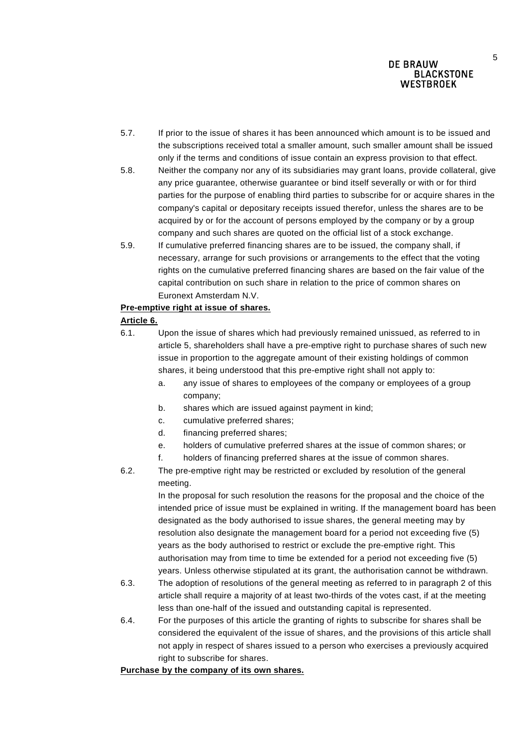- 5.7. If prior to the issue of shares it has been announced which amount is to be issued and the subscriptions received total a smaller amount, such smaller amount shall be issued only if the terms and conditions of issue contain an express provision to that effect.
- 5.8. Neither the company nor any of its subsidiaries may grant loans, provide collateral, give any price guarantee, otherwise guarantee or bind itself severally or with or for third parties for the purpose of enabling third parties to subscribe for or acquire shares in the company's capital or depositary receipts issued therefor, unless the shares are to be acquired by or for the account of persons employed by the company or by a group company and such shares are quoted on the official list of a stock exchange.
- 5.9. If cumulative preferred financing shares are to be issued, the company shall, if necessary, arrange for such provisions or arrangements to the effect that the voting rights on the cumulative preferred financing shares are based on the fair value of the capital contribution on such share in relation to the price of common shares on Euronext Amsterdam N.V.

#### **Pre-emptive right at issue of shares.**

### **Article 6.**

- 6.1. Upon the issue of shares which had previously remained unissued, as referred to in article 5, shareholders shall have a pre-emptive right to purchase shares of such new issue in proportion to the aggregate amount of their existing holdings of common shares, it being understood that this pre-emptive right shall not apply to:
	- a. any issue of shares to employees of the company or employees of a group company;
	- b. shares which are issued against payment in kind;
	- c. cumulative preferred shares;
	- d. financing preferred shares;
	- e. holders of cumulative preferred shares at the issue of common shares; or
	- f. holders of financing preferred shares at the issue of common shares.
- 6.2. The pre-emptive right may be restricted or excluded by resolution of the general meeting.

In the proposal for such resolution the reasons for the proposal and the choice of the intended price of issue must be explained in writing. If the management board has been designated as the body authorised to issue shares, the general meeting may by resolution also designate the management board for a period not exceeding five (5) years as the body authorised to restrict or exclude the pre-emptive right. This authorisation may from time to time be extended for a period not exceeding five (5) years. Unless otherwise stipulated at its grant, the authorisation cannot be withdrawn.

- 6.3. The adoption of resolutions of the general meeting as referred to in paragraph 2 of this article shall require a majority of at least two-thirds of the votes cast, if at the meeting less than one-half of the issued and outstanding capital is represented.
- 6.4. For the purposes of this article the granting of rights to subscribe for shares shall be considered the equivalent of the issue of shares, and the provisions of this article shall not apply in respect of shares issued to a person who exercises a previously acquired right to subscribe for shares.

#### **Purchase by the company of its own shares.**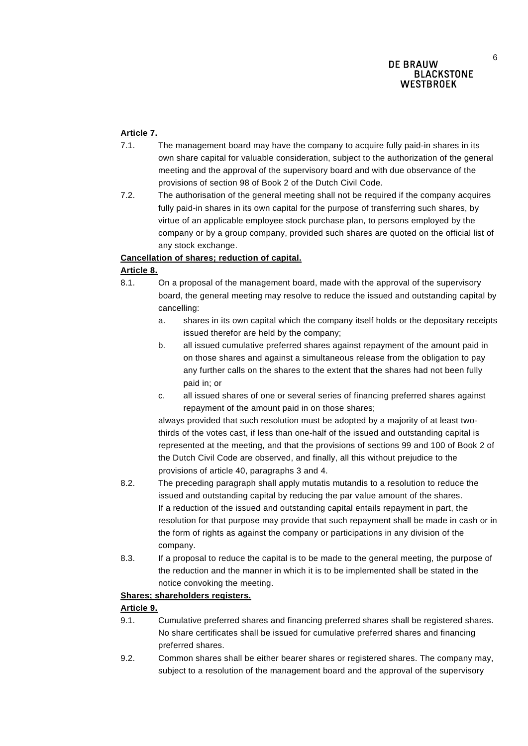## **Article 7.**

- 7.1. The management board may have the company to acquire fully paid-in shares in its own share capital for valuable consideration, subject to the authorization of the general meeting and the approval of the supervisory board and with due observance of the provisions of section 98 of Book 2 of the Dutch Civil Code.
- 7.2. The authorisation of the general meeting shall not be required if the company acquires fully paid-in shares in its own capital for the purpose of transferring such shares, by virtue of an applicable employee stock purchase plan, to persons employed by the company or by a group company, provided such shares are quoted on the official list of any stock exchange.

## **Cancellation of shares; reduction of capital.**

## **Article 8.**

- 8.1. On a proposal of the management board, made with the approval of the supervisory board, the general meeting may resolve to reduce the issued and outstanding capital by cancelling:
	- a. shares in its own capital which the company itself holds or the depositary receipts issued therefor are held by the company;
	- b. all issued cumulative preferred shares against repayment of the amount paid in on those shares and against a simultaneous release from the obligation to pay any further calls on the shares to the extent that the shares had not been fully paid in; or
	- c. all issued shares of one or several series of financing preferred shares against repayment of the amount paid in on those shares;

always provided that such resolution must be adopted by a majority of at least twothirds of the votes cast, if less than one-half of the issued and outstanding capital is represented at the meeting, and that the provisions of sections 99 and 100 of Book 2 of the Dutch Civil Code are observed, and finally, all this without prejudice to the provisions of article 40, paragraphs 3 and 4.

- 8.2. The preceding paragraph shall apply mutatis mutandis to a resolution to reduce the issued and outstanding capital by reducing the par value amount of the shares. If a reduction of the issued and outstanding capital entails repayment in part, the resolution for that purpose may provide that such repayment shall be made in cash or in the form of rights as against the company or participations in any division of the company.
- 8.3. If a proposal to reduce the capital is to be made to the general meeting, the purpose of the reduction and the manner in which it is to be implemented shall be stated in the notice convoking the meeting.

### **Shares; shareholders registers.**

## **Article 9.**

- 9.1. Cumulative preferred shares and financing preferred shares shall be registered shares. No share certificates shall be issued for cumulative preferred shares and financing preferred shares.
- 9.2. Common shares shall be either bearer shares or registered shares. The company may, subject to a resolution of the management board and the approval of the supervisory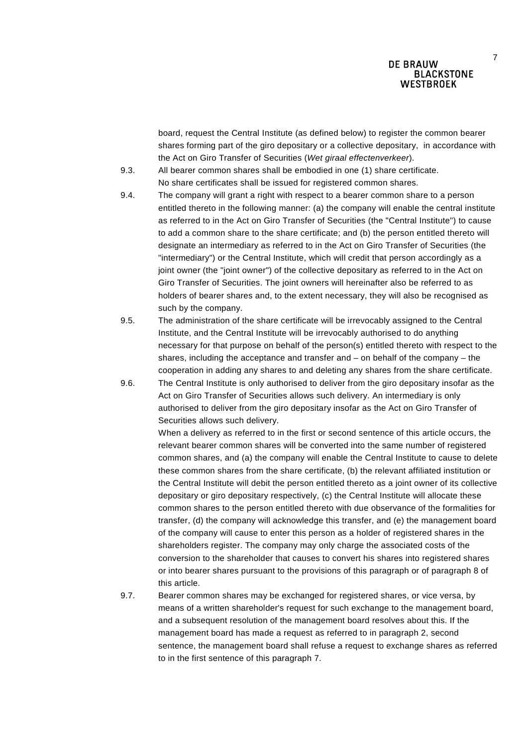board, request the Central Institute (as defined below) to register the common bearer shares forming part of the giro depositary or a collective depositary, in accordance with the Act on Giro Transfer of Securities (*Wet giraal effectenverkeer*).

- 9.3. All bearer common shares shall be embodied in one (1) share certificate. No share certificates shall be issued for registered common shares.
- 9.4. The company will grant a right with respect to a bearer common share to a person entitled thereto in the following manner: (a) the company will enable the central institute as referred to in the Act on Giro Transfer of Securities (the "Central Institute") to cause to add a common share to the share certificate; and (b) the person entitled thereto will designate an intermediary as referred to in the Act on Giro Transfer of Securities (the "intermediary") or the Central Institute, which will credit that person accordingly as a joint owner (the "joint owner") of the collective depositary as referred to in the Act on Giro Transfer of Securities. The joint owners will hereinafter also be referred to as holders of bearer shares and, to the extent necessary, they will also be recognised as such by the company.
- 9.5. The administration of the share certificate will be irrevocably assigned to the Central Institute, and the Central Institute will be irrevocably authorised to do anything necessary for that purpose on behalf of the person(s) entitled thereto with respect to the shares, including the acceptance and transfer and – on behalf of the company – the cooperation in adding any shares to and deleting any shares from the share certificate.
- 9.6. The Central Institute is only authorised to deliver from the giro depositary insofar as the Act on Giro Transfer of Securities allows such delivery. An intermediary is only authorised to deliver from the giro depositary insofar as the Act on Giro Transfer of Securities allows such delivery.

When a delivery as referred to in the first or second sentence of this article occurs, the relevant bearer common shares will be converted into the same number of registered common shares, and (a) the company will enable the Central Institute to cause to delete these common shares from the share certificate, (b) the relevant affiliated institution or the Central Institute will debit the person entitled thereto as a joint owner of its collective depositary or giro depositary respectively, (c) the Central Institute will allocate these common shares to the person entitled thereto with due observance of the formalities for transfer, (d) the company will acknowledge this transfer, and (e) the management board of the company will cause to enter this person as a holder of registered shares in the shareholders register. The company may only charge the associated costs of the conversion to the shareholder that causes to convert his shares into registered shares or into bearer shares pursuant to the provisions of this paragraph or of paragraph 8 of this article.

9.7. Bearer common shares may be exchanged for registered shares, or vice versa, by means of a written shareholder's request for such exchange to the management board, and a subsequent resolution of the management board resolves about this. If the management board has made a request as referred to in paragraph 2, second sentence, the management board shall refuse a request to exchange shares as referred to in the first sentence of this paragraph 7.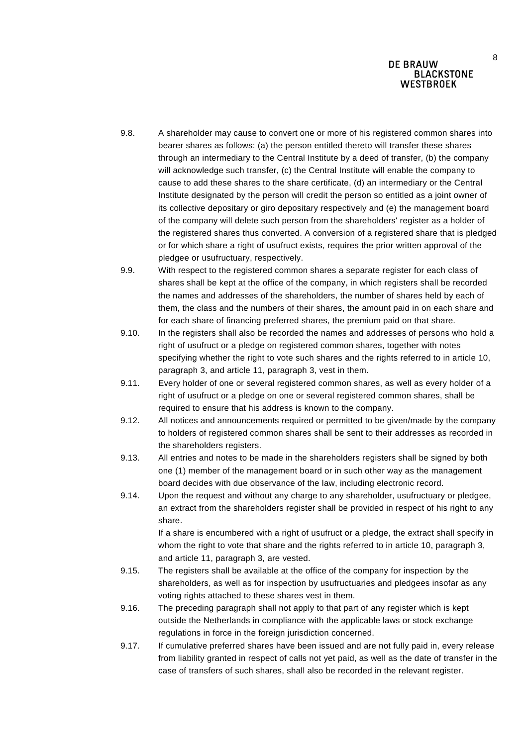- 9.8. A shareholder may cause to convert one or more of his registered common shares into bearer shares as follows: (a) the person entitled thereto will transfer these shares through an intermediary to the Central Institute by a deed of transfer, (b) the company will acknowledge such transfer, (c) the Central Institute will enable the company to cause to add these shares to the share certificate, (d) an intermediary or the Central Institute designated by the person will credit the person so entitled as a joint owner of its collective depositary or giro depositary respectively and (e) the management board of the company will delete such person from the shareholders' register as a holder of the registered shares thus converted. A conversion of a registered share that is pledged or for which share a right of usufruct exists, requires the prior written approval of the pledgee or usufructuary, respectively.
- 9.9. With respect to the registered common shares a separate register for each class of shares shall be kept at the office of the company, in which registers shall be recorded the names and addresses of the shareholders, the number of shares held by each of them, the class and the numbers of their shares, the amount paid in on each share and for each share of financing preferred shares, the premium paid on that share.
- 9.10. In the registers shall also be recorded the names and addresses of persons who hold a right of usufruct or a pledge on registered common shares, together with notes specifying whether the right to vote such shares and the rights referred to in article 10, paragraph 3, and article 11, paragraph 3, vest in them.
- 9.11. Every holder of one or several registered common shares, as well as every holder of a right of usufruct or a pledge on one or several registered common shares, shall be required to ensure that his address is known to the company.
- 9.12. All notices and announcements required or permitted to be given/made by the company to holders of registered common shares shall be sent to their addresses as recorded in the shareholders registers.
- 9.13. All entries and notes to be made in the shareholders registers shall be signed by both one (1) member of the management board or in such other way as the management board decides with due observance of the law, including electronic record.
- 9.14. Upon the request and without any charge to any shareholder, usufructuary or pledgee, an extract from the shareholders register shall be provided in respect of his right to any share.

If a share is encumbered with a right of usufruct or a pledge, the extract shall specify in whom the right to vote that share and the rights referred to in article 10, paragraph 3, and article 11, paragraph 3, are vested.

- 9.15. The registers shall be available at the office of the company for inspection by the shareholders, as well as for inspection by usufructuaries and pledgees insofar as any voting rights attached to these shares vest in them.
- 9.16. The preceding paragraph shall not apply to that part of any register which is kept outside the Netherlands in compliance with the applicable laws or stock exchange regulations in force in the foreign jurisdiction concerned.
- 9.17. If cumulative preferred shares have been issued and are not fully paid in, every release from liability granted in respect of calls not yet paid, as well as the date of transfer in the case of transfers of such shares, shall also be recorded in the relevant register.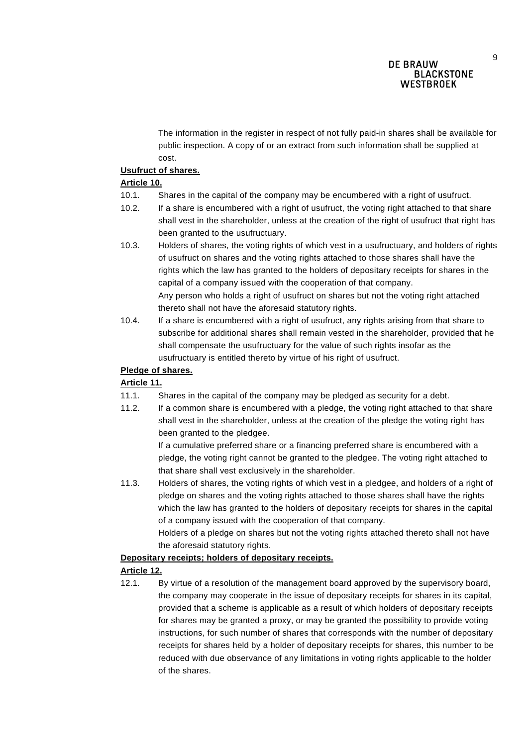The information in the register in respect of not fully paid-in shares shall be available for public inspection. A copy of or an extract from such information shall be supplied at cost.

### **Usufruct of shares.**

## **Article 10.**

- 10.1. Shares in the capital of the company may be encumbered with a right of usufruct.
- 10.2. If a share is encumbered with a right of usufruct, the voting right attached to that share shall vest in the shareholder, unless at the creation of the right of usufruct that right has been granted to the usufructuary.
- 10.3. Holders of shares, the voting rights of which vest in a usufructuary, and holders of rights of usufruct on shares and the voting rights attached to those shares shall have the rights which the law has granted to the holders of depositary receipts for shares in the capital of a company issued with the cooperation of that company. Any person who holds a right of usufruct on shares but not the voting right attached thereto shall not have the aforesaid statutory rights.
- 10.4. If a share is encumbered with a right of usufruct, any rights arising from that share to subscribe for additional shares shall remain vested in the shareholder, provided that he shall compensate the usufructuary for the value of such rights insofar as the usufructuary is entitled thereto by virtue of his right of usufruct.

## **Pledge of shares.**

## **Article 11.**

- 11.1. Shares in the capital of the company may be pledged as security for a debt.
- 11.2. If a common share is encumbered with a pledge, the voting right attached to that share shall vest in the shareholder, unless at the creation of the pledge the voting right has been granted to the pledgee.

If a cumulative preferred share or a financing preferred share is encumbered with a pledge, the voting right cannot be granted to the pledgee. The voting right attached to that share shall vest exclusively in the shareholder.

11.3. Holders of shares, the voting rights of which vest in a pledgee, and holders of a right of pledge on shares and the voting rights attached to those shares shall have the rights which the law has granted to the holders of depositary receipts for shares in the capital of a company issued with the cooperation of that company.

Holders of a pledge on shares but not the voting rights attached thereto shall not have the aforesaid statutory rights.

### **Depositary receipts; holders of depositary receipts.**

## **Article 12.**

12.1. By virtue of a resolution of the management board approved by the supervisory board, the company may cooperate in the issue of depositary receipts for shares in its capital, provided that a scheme is applicable as a result of which holders of depositary receipts for shares may be granted a proxy, or may be granted the possibility to provide voting instructions, for such number of shares that corresponds with the number of depositary receipts for shares held by a holder of depositary receipts for shares, this number to be reduced with due observance of any limitations in voting rights applicable to the holder of the shares.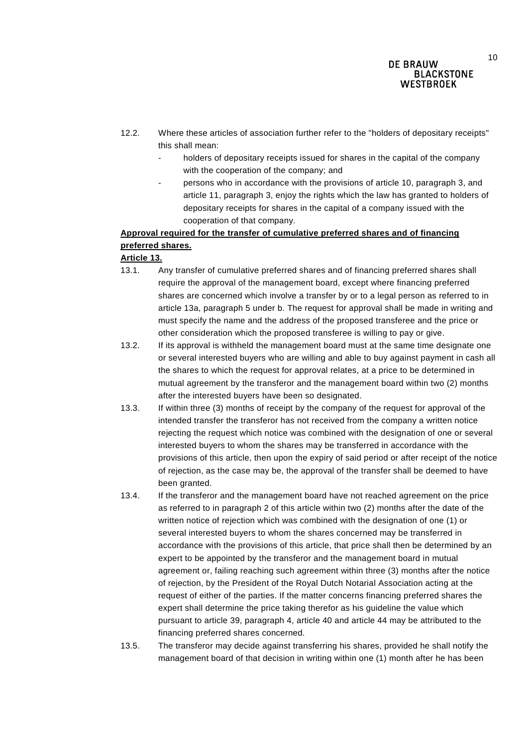- 12.2. Where these articles of association further refer to the "holders of depositary receipts" this shall mean:
	- holders of depositary receipts issued for shares in the capital of the company with the cooperation of the company; and
	- persons who in accordance with the provisions of article 10, paragraph 3, and article 11, paragraph 3, enjoy the rights which the law has granted to holders of depositary receipts for shares in the capital of a company issued with the cooperation of that company.

# **Approval required for the transfer of cumulative preferred shares and of financing preferred shares.**

# **Article 13.**

- 13.1. Any transfer of cumulative preferred shares and of financing preferred shares shall require the approval of the management board, except where financing preferred shares are concerned which involve a transfer by or to a legal person as referred to in article 13a, paragraph 5 under b. The request for approval shall be made in writing and must specify the name and the address of the proposed transferee and the price or other consideration which the proposed transferee is willing to pay or give.
- 13.2. If its approval is withheld the management board must at the same time designate one or several interested buyers who are willing and able to buy against payment in cash all the shares to which the request for approval relates, at a price to be determined in mutual agreement by the transferor and the management board within two (2) months after the interested buyers have been so designated.
- 13.3. If within three (3) months of receipt by the company of the request for approval of the intended transfer the transferor has not received from the company a written notice rejecting the request which notice was combined with the designation of one or several interested buyers to whom the shares may be transferred in accordance with the provisions of this article, then upon the expiry of said period or after receipt of the notice of rejection, as the case may be, the approval of the transfer shall be deemed to have been granted.
- 13.4. If the transferor and the management board have not reached agreement on the price as referred to in paragraph 2 of this article within two (2) months after the date of the written notice of rejection which was combined with the designation of one (1) or several interested buyers to whom the shares concerned may be transferred in accordance with the provisions of this article, that price shall then be determined by an expert to be appointed by the transferor and the management board in mutual agreement or, failing reaching such agreement within three (3) months after the notice of rejection, by the President of the Royal Dutch Notarial Association acting at the request of either of the parties. If the matter concerns financing preferred shares the expert shall determine the price taking therefor as his guideline the value which pursuant to article 39, paragraph 4, article 40 and article 44 may be attributed to the financing preferred shares concerned.
- 13.5. The transferor may decide against transferring his shares, provided he shall notify the management board of that decision in writing within one (1) month after he has been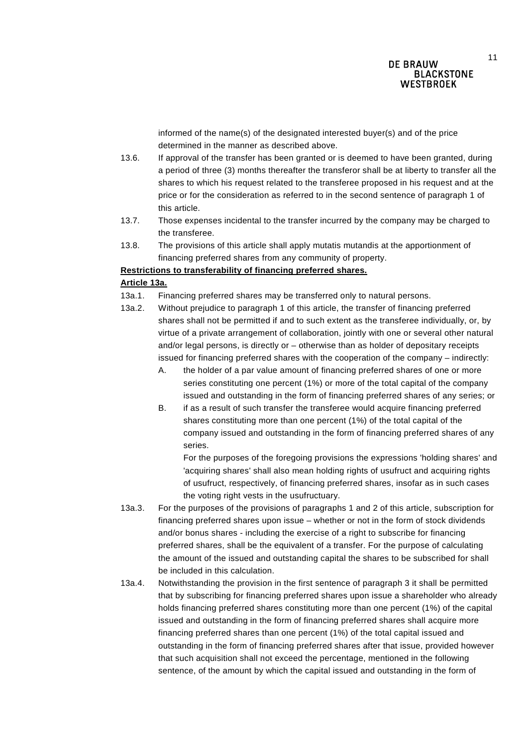11

informed of the name(s) of the designated interested buyer(s) and of the price determined in the manner as described above.

- 13.6. If approval of the transfer has been granted or is deemed to have been granted, during a period of three (3) months thereafter the transferor shall be at liberty to transfer all the shares to which his request related to the transferee proposed in his request and at the price or for the consideration as referred to in the second sentence of paragraph 1 of this article.
- 13.7. Those expenses incidental to the transfer incurred by the company may be charged to the transferee.
- 13.8. The provisions of this article shall apply mutatis mutandis at the apportionment of financing preferred shares from any community of property.

#### **Restrictions to transferability of financing preferred shares.**

### **Article 13a.**

- 13a.1. Financing preferred shares may be transferred only to natural persons.
- 13a.2. Without prejudice to paragraph 1 of this article, the transfer of financing preferred shares shall not be permitted if and to such extent as the transferee individually, or, by virtue of a private arrangement of collaboration, jointly with one or several other natural and/or legal persons, is directly or – otherwise than as holder of depositary receipts issued for financing preferred shares with the cooperation of the company – indirectly:
	- A. the holder of a par value amount of financing preferred shares of one or more series constituting one percent (1%) or more of the total capital of the company issued and outstanding in the form of financing preferred shares of any series; or
	- B. if as a result of such transfer the transferee would acquire financing preferred shares constituting more than one percent (1%) of the total capital of the company issued and outstanding in the form of financing preferred shares of any series.

For the purposes of the foregoing provisions the expressions 'holding shares' and 'acquiring shares' shall also mean holding rights of usufruct and acquiring rights of usufruct, respectively, of financing preferred shares, insofar as in such cases the voting right vests in the usufructuary.

- 13a.3. For the purposes of the provisions of paragraphs 1 and 2 of this article, subscription for financing preferred shares upon issue – whether or not in the form of stock dividends and/or bonus shares - including the exercise of a right to subscribe for financing preferred shares, shall be the equivalent of a transfer. For the purpose of calculating the amount of the issued and outstanding capital the shares to be subscribed for shall be included in this calculation.
- 13a.4. Notwithstanding the provision in the first sentence of paragraph 3 it shall be permitted that by subscribing for financing preferred shares upon issue a shareholder who already holds financing preferred shares constituting more than one percent (1%) of the capital issued and outstanding in the form of financing preferred shares shall acquire more financing preferred shares than one percent (1%) of the total capital issued and outstanding in the form of financing preferred shares after that issue, provided however that such acquisition shall not exceed the percentage, mentioned in the following sentence, of the amount by which the capital issued and outstanding in the form of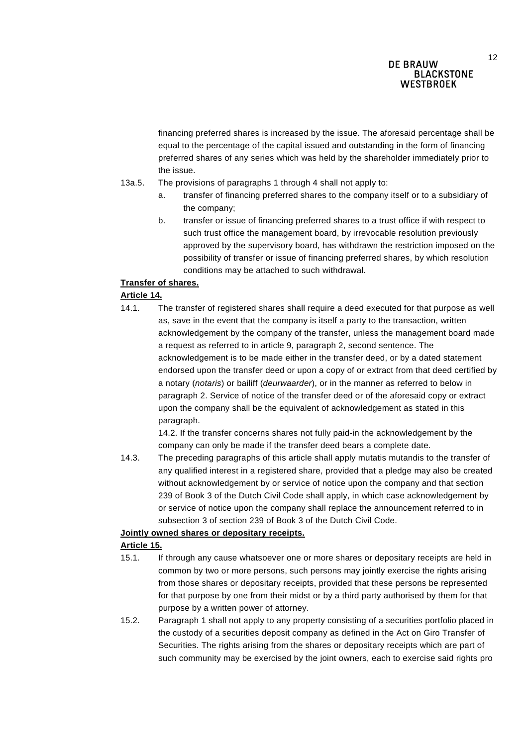financing preferred shares is increased by the issue. The aforesaid percentage shall be equal to the percentage of the capital issued and outstanding in the form of financing preferred shares of any series which was held by the shareholder immediately prior to the issue.

- 13a.5. The provisions of paragraphs 1 through 4 shall not apply to:
	- a. transfer of financing preferred shares to the company itself or to a subsidiary of the company;
	- b. transfer or issue of financing preferred shares to a trust office if with respect to such trust office the management board, by irrevocable resolution previously approved by the supervisory board, has withdrawn the restriction imposed on the possibility of transfer or issue of financing preferred shares, by which resolution conditions may be attached to such withdrawal.

## **Transfer of shares.**

## **Article 14.**

14.1. The transfer of registered shares shall require a deed executed for that purpose as well as, save in the event that the company is itself a party to the transaction, written acknowledgement by the company of the transfer, unless the management board made a request as referred to in article 9, paragraph 2, second sentence. The acknowledgement is to be made either in the transfer deed, or by a dated statement endorsed upon the transfer deed or upon a copy of or extract from that deed certified by a notary (*notaris*) or bailiff (*deurwaarder*), or in the manner as referred to below in paragraph 2. Service of notice of the transfer deed or of the aforesaid copy or extract upon the company shall be the equivalent of acknowledgement as stated in this paragraph.

14.2. If the transfer concerns shares not fully paid-in the acknowledgement by the company can only be made if the transfer deed bears a complete date.

14.3. The preceding paragraphs of this article shall apply mutatis mutandis to the transfer of any qualified interest in a registered share, provided that a pledge may also be created without acknowledgement by or service of notice upon the company and that section 239 of Book 3 of the Dutch Civil Code shall apply, in which case acknowledgement by or service of notice upon the company shall replace the announcement referred to in subsection 3 of section 239 of Book 3 of the Dutch Civil Code.

## **Jointly owned shares or depositary receipts.**

### **Article 15.**

- 15.1. If through any cause whatsoever one or more shares or depositary receipts are held in common by two or more persons, such persons may jointly exercise the rights arising from those shares or depositary receipts, provided that these persons be represented for that purpose by one from their midst or by a third party authorised by them for that purpose by a written power of attorney.
- 15.2. Paragraph 1 shall not apply to any property consisting of a securities portfolio placed in the custody of a securities deposit company as defined in the Act on Giro Transfer of Securities. The rights arising from the shares or depositary receipts which are part of such community may be exercised by the joint owners, each to exercise said rights pro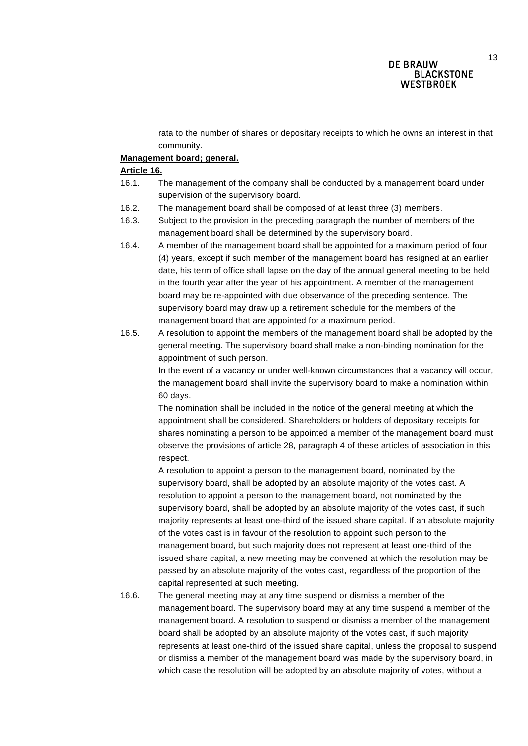rata to the number of shares or depositary receipts to which he owns an interest in that community.

#### **Management board; general.**

#### **Article 16.**

- 16.1. The management of the company shall be conducted by a management board under supervision of the supervisory board.
- 16.2. The management board shall be composed of at least three (3) members.
- 16.3. Subject to the provision in the preceding paragraph the number of members of the management board shall be determined by the supervisory board.
- 16.4. A member of the management board shall be appointed for a maximum period of four (4) years, except if such member of the management board has resigned at an earlier date, his term of office shall lapse on the day of the annual general meeting to be held in the fourth year after the year of his appointment. A member of the management board may be re-appointed with due observance of the preceding sentence. The supervisory board may draw up a retirement schedule for the members of the management board that are appointed for a maximum period.
- 16.5. A resolution to appoint the members of the management board shall be adopted by the general meeting. The supervisory board shall make a non-binding nomination for the appointment of such person.

In the event of a vacancy or under well-known circumstances that a vacancy will occur, the management board shall invite the supervisory board to make a nomination within 60 days.

The nomination shall be included in the notice of the general meeting at which the appointment shall be considered. Shareholders or holders of depositary receipts for shares nominating a person to be appointed a member of the management board must observe the provisions of article 28, paragraph 4 of these articles of association in this respect.

A resolution to appoint a person to the management board, nominated by the supervisory board, shall be adopted by an absolute majority of the votes cast. A resolution to appoint a person to the management board, not nominated by the supervisory board, shall be adopted by an absolute majority of the votes cast, if such majority represents at least one-third of the issued share capital. If an absolute majority of the votes cast is in favour of the resolution to appoint such person to the management board, but such majority does not represent at least one-third of the issued share capital, a new meeting may be convened at which the resolution may be passed by an absolute majority of the votes cast, regardless of the proportion of the capital represented at such meeting.

16.6. The general meeting may at any time suspend or dismiss a member of the management board. The supervisory board may at any time suspend a member of the management board. A resolution to suspend or dismiss a member of the management board shall be adopted by an absolute majority of the votes cast, if such majority represents at least one-third of the issued share capital, unless the proposal to suspend or dismiss a member of the management board was made by the supervisory board, in which case the resolution will be adopted by an absolute majority of votes, without a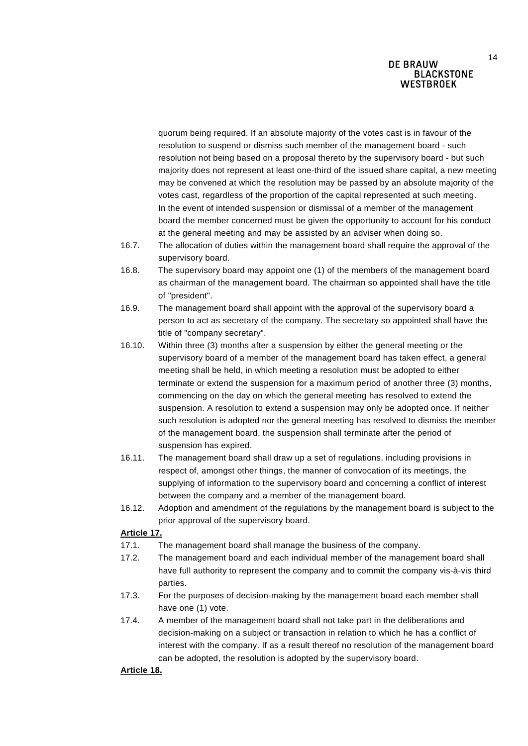quorum being required. If an absolute majority of the votes cast is in favour of the resolution to suspend or dismiss such member of the management board - such resolution not being based on a proposal thereto by the supervisory board - but such majority does not represent at least one-third of the issued share capital, a new meeting may be convened at which the resolution may be passed by an absolute majority of the votes cast, regardless of the proportion of the capital represented at such meeting. In the event of intended suspension or dismissal of a member of the management board the member concerned must be given the opportunity to account for his conduct at the general meeting and may be assisted by an adviser when doing so.

- 16.7. The allocation of duties within the management board shall require the approval of the supervisory board.
- 16.8. The supervisory board may appoint one (1) of the members of the management board as chairman of the management board. The chairman so appointed shall have the title of "president".
- 16.9. The management board shall appoint with the approval of the supervisory board a person to act as secretary of the company. The secretary so appointed shall have the title of "company secretary".
- 16.10. Within three (3) months after a suspension by either the general meeting or the supervisory board of a member of the management board has taken effect, a general meeting shall be held, in which meeting a resolution must be adopted to either terminate or extend the suspension for a maximum period of another three (3) months, commencing on the day on which the general meeting has resolved to extend the suspension. A resolution to extend a suspension may only be adopted once. If neither such resolution is adopted nor the general meeting has resolved to dismiss the member of the management board, the suspension shall terminate after the period of suspension has expired.
- 16.11. The management board shall draw up a set of regulations, including provisions in respect of, amongst other things, the manner of convocation of its meetings, the supplying of information to the supervisory board and concerning a conflict of interest between the company and a member of the management board.
- 16.12. Adoption and amendment of the regulations by the management board is subject to the prior approval of the supervisory board.

### **Article 17.**

- 17.1. The management board shall manage the business of the company.
- 17.2. The management board and each individual member of the management board shall have full authority to represent the company and to commit the company vis-à-vis third parties.
- 17.3. For the purposes of decision-making by the management board each member shall have one (1) vote.
- 17.4. A member of the management board shall not take part in the deliberations and decision-making on a subject or transaction in relation to which he has a conflict of interest with the company. If as a result thereof no resolution of the management board can be adopted, the resolution is adopted by the supervisory board.

### **Article 18.**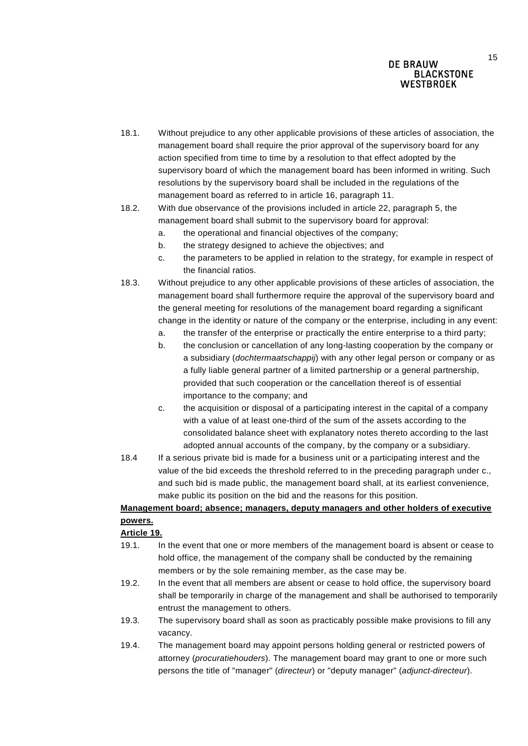- 18.1. Without prejudice to any other applicable provisions of these articles of association, the management board shall require the prior approval of the supervisory board for any action specified from time to time by a resolution to that effect adopted by the supervisory board of which the management board has been informed in writing. Such resolutions by the supervisory board shall be included in the regulations of the management board as referred to in article 16, paragraph 11.
- 18.2. With due observance of the provisions included in article 22, paragraph 5, the management board shall submit to the supervisory board for approval:
	- a. the operational and financial objectives of the company;
	- b. the strategy designed to achieve the objectives; and
	- c. the parameters to be applied in relation to the strategy, for example in respect of the financial ratios.
- 18.3. Without prejudice to any other applicable provisions of these articles of association, the management board shall furthermore require the approval of the supervisory board and the general meeting for resolutions of the management board regarding a significant change in the identity or nature of the company or the enterprise, including in any event:
	- a. the transfer of the enterprise or practically the entire enterprise to a third party;
	- b. the conclusion or cancellation of any long-lasting cooperation by the company or a subsidiary (*dochtermaatschappij*) with any other legal person or company or as a fully liable general partner of a limited partnership or a general partnership, provided that such cooperation or the cancellation thereof is of essential importance to the company; and
	- c. the acquisition or disposal of a participating interest in the capital of a company with a value of at least one-third of the sum of the assets according to the consolidated balance sheet with explanatory notes thereto according to the last adopted annual accounts of the company, by the company or a subsidiary.
- 18.4 If a serious private bid is made for a business unit or a participating interest and the value of the bid exceeds the threshold referred to in the preceding paragraph under c., and such bid is made public, the management board shall, at its earliest convenience, make public its position on the bid and the reasons for this position.

## **Management board; absence; managers, deputy managers and other holders of executive powers.**

### **Article 19.**

- 19.1. In the event that one or more members of the management board is absent or cease to hold office, the management of the company shall be conducted by the remaining members or by the sole remaining member, as the case may be.
- 19.2. In the event that all members are absent or cease to hold office, the supervisory board shall be temporarily in charge of the management and shall be authorised to temporarily entrust the management to others.
- 19.3. The supervisory board shall as soon as practicably possible make provisions to fill any vacancy.
- 19.4. The management board may appoint persons holding general or restricted powers of attorney (*procuratiehouders*). The management board may grant to one or more such persons the title of "manager" (*directeur*) or "deputy manager" (*adjunct-directeur*).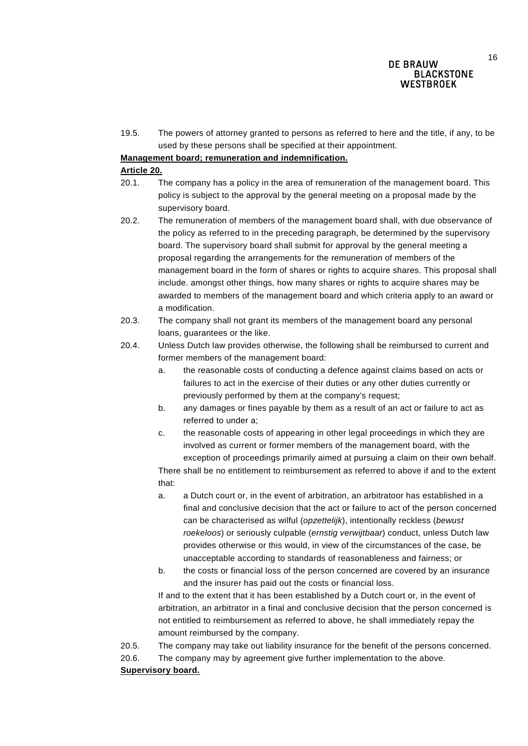19.5. The powers of attorney granted to persons as referred to here and the title, if any, to be used by these persons shall be specified at their appointment.

### **Management board; remuneration and indemnification.**

#### **Article 20.**

- 20.1. The company has a policy in the area of remuneration of the management board. This policy is subject to the approval by the general meeting on a proposal made by the supervisory board.
- 20.2. The remuneration of members of the management board shall, with due observance of the policy as referred to in the preceding paragraph, be determined by the supervisory board. The supervisory board shall submit for approval by the general meeting a proposal regarding the arrangements for the remuneration of members of the management board in the form of shares or rights to acquire shares. This proposal shall include. amongst other things, how many shares or rights to acquire shares may be awarded to members of the management board and which criteria apply to an award or a modification.
- 20.3. The company shall not grant its members of the management board any personal loans, guarantees or the like.
- 20.4. Unless Dutch law provides otherwise, the following shall be reimbursed to current and former members of the management board:
	- a. the reasonable costs of conducting a defence against claims based on acts or failures to act in the exercise of their duties or any other duties currently or previously performed by them at the company's request;
	- b. any damages or fines payable by them as a result of an act or failure to act as referred to under a;
	- c. the reasonable costs of appearing in other legal proceedings in which they are involved as current or former members of the management board, with the exception of proceedings primarily aimed at pursuing a claim on their own behalf.

There shall be no entitlement to reimbursement as referred to above if and to the extent that:

- a. a Dutch court or, in the event of arbitration, an arbitratoor has established in a final and conclusive decision that the act or failure to act of the person concerned can be characterised as wilful (*opzettelijk*), intentionally reckless (*bewust roekeloos*) or seriously culpable (*ernstig verwijtbaar*) conduct, unless Dutch law provides otherwise or this would, in view of the circumstances of the case, be unacceptable according to standards of reasonableness and fairness; or
- b. the costs or financial loss of the person concerned are covered by an insurance and the insurer has paid out the costs or financial loss.

If and to the extent that it has been established by a Dutch court or, in the event of arbitration, an arbitrator in a final and conclusive decision that the person concerned is not entitled to reimbursement as referred to above, he shall immediately repay the amount reimbursed by the company.

20.5. The company may take out liability insurance for the benefit of the persons concerned.

20.6. The company may by agreement give further implementation to the above.

### **Supervisory board.**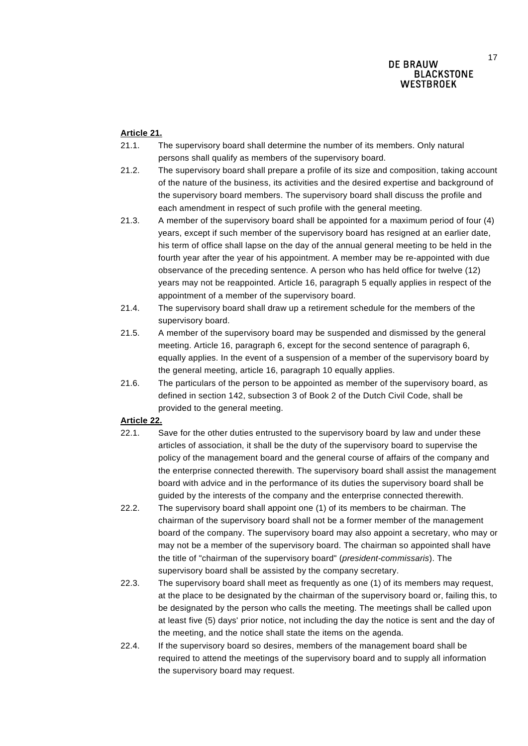## **Article 21.**

- 21.1. The supervisory board shall determine the number of its members. Only natural persons shall qualify as members of the supervisory board.
- 21.2. The supervisory board shall prepare a profile of its size and composition, taking account of the nature of the business, its activities and the desired expertise and background of the supervisory board members. The supervisory board shall discuss the profile and each amendment in respect of such profile with the general meeting.
- 21.3. A member of the supervisory board shall be appointed for a maximum period of four (4) years, except if such member of the supervisory board has resigned at an earlier date, his term of office shall lapse on the day of the annual general meeting to be held in the fourth year after the year of his appointment. A member may be re-appointed with due observance of the preceding sentence. A person who has held office for twelve (12) years may not be reappointed. Article 16, paragraph 5 equally applies in respect of the appointment of a member of the supervisory board.
- 21.4. The supervisory board shall draw up a retirement schedule for the members of the supervisory board.
- 21.5. A member of the supervisory board may be suspended and dismissed by the general meeting. Article 16, paragraph 6, except for the second sentence of paragraph 6, equally applies. In the event of a suspension of a member of the supervisory board by the general meeting, article 16, paragraph 10 equally applies.
- 21.6. The particulars of the person to be appointed as member of the supervisory board, as defined in section 142, subsection 3 of Book 2 of the Dutch Civil Code, shall be provided to the general meeting.

### **Article 22.**

- 22.1. Save for the other duties entrusted to the supervisory board by law and under these articles of association, it shall be the duty of the supervisory board to supervise the policy of the management board and the general course of affairs of the company and the enterprise connected therewith. The supervisory board shall assist the management board with advice and in the performance of its duties the supervisory board shall be guided by the interests of the company and the enterprise connected therewith.
- 22.2. The supervisory board shall appoint one (1) of its members to be chairman. The chairman of the supervisory board shall not be a former member of the management board of the company. The supervisory board may also appoint a secretary, who may or may not be a member of the supervisory board. The chairman so appointed shall have the title of "chairman of the supervisory board" (*president-commissaris*). The supervisory board shall be assisted by the company secretary.
- 22.3. The supervisory board shall meet as frequently as one (1) of its members may request, at the place to be designated by the chairman of the supervisory board or, failing this, to be designated by the person who calls the meeting. The meetings shall be called upon at least five (5) days' prior notice, not including the day the notice is sent and the day of the meeting, and the notice shall state the items on the agenda.
- 22.4. If the supervisory board so desires, members of the management board shall be required to attend the meetings of the supervisory board and to supply all information the supervisory board may request.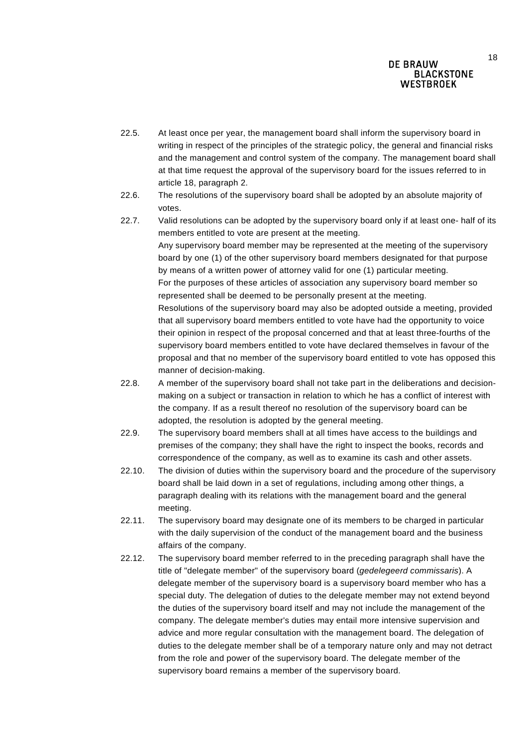- 22.5. At least once per year, the management board shall inform the supervisory board in writing in respect of the principles of the strategic policy, the general and financial risks and the management and control system of the company. The management board shall at that time request the approval of the supervisory board for the issues referred to in article 18, paragraph 2.
- 22.6. The resolutions of the supervisory board shall be adopted by an absolute majority of votes.
- 22.7. Valid resolutions can be adopted by the supervisory board only if at least one- half of its members entitled to vote are present at the meeting. Any supervisory board member may be represented at the meeting of the supervisory board by one (1) of the other supervisory board members designated for that purpose by means of a written power of attorney valid for one (1) particular meeting. For the purposes of these articles of association any supervisory board member so represented shall be deemed to be personally present at the meeting. Resolutions of the supervisory board may also be adopted outside a meeting, provided that all supervisory board members entitled to vote have had the opportunity to voice their opinion in respect of the proposal concerned and that at least three-fourths of the supervisory board members entitled to vote have declared themselves in favour of the proposal and that no member of the supervisory board entitled to vote has opposed this

manner of decision-making.

- 22.8. A member of the supervisory board shall not take part in the deliberations and decisionmaking on a subject or transaction in relation to which he has a conflict of interest with the company. If as a result thereof no resolution of the supervisory board can be adopted, the resolution is adopted by the general meeting.
- 22.9. The supervisory board members shall at all times have access to the buildings and premises of the company; they shall have the right to inspect the books, records and correspondence of the company, as well as to examine its cash and other assets.
- 22.10. The division of duties within the supervisory board and the procedure of the supervisory board shall be laid down in a set of regulations, including among other things, a paragraph dealing with its relations with the management board and the general meeting.
- 22.11. The supervisory board may designate one of its members to be charged in particular with the daily supervision of the conduct of the management board and the business affairs of the company.
- 22.12. The supervisory board member referred to in the preceding paragraph shall have the title of "delegate member" of the supervisory board (*gedelegeerd commissaris*). A delegate member of the supervisory board is a supervisory board member who has a special duty. The delegation of duties to the delegate member may not extend beyond the duties of the supervisory board itself and may not include the management of the company. The delegate member's duties may entail more intensive supervision and advice and more regular consultation with the management board. The delegation of duties to the delegate member shall be of a temporary nature only and may not detract from the role and power of the supervisory board. The delegate member of the supervisory board remains a member of the supervisory board.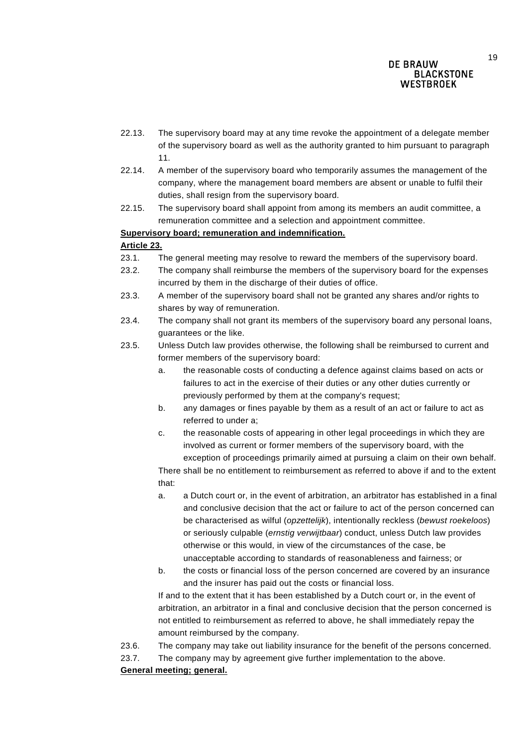- 22.13. The supervisory board may at any time revoke the appointment of a delegate member of the supervisory board as well as the authority granted to him pursuant to paragraph 11.
- 22.14. A member of the supervisory board who temporarily assumes the management of the company, where the management board members are absent or unable to fulfil their duties, shall resign from the supervisory board.
- 22.15. The supervisory board shall appoint from among its members an audit committee, a remuneration committee and a selection and appointment committee.

### **Supervisory board; remuneration and indemnification.**

#### **Article 23.**

- 23.1. The general meeting may resolve to reward the members of the supervisory board.
- 23.2. The company shall reimburse the members of the supervisory board for the expenses incurred by them in the discharge of their duties of office.
- 23.3. A member of the supervisory board shall not be granted any shares and/or rights to shares by way of remuneration.
- 23.4. The company shall not grant its members of the supervisory board any personal loans, guarantees or the like.
- 23.5. Unless Dutch law provides otherwise, the following shall be reimbursed to current and former members of the supervisory board:
	- a. the reasonable costs of conducting a defence against claims based on acts or failures to act in the exercise of their duties or any other duties currently or previously performed by them at the company's request;
	- b. any damages or fines payable by them as a result of an act or failure to act as referred to under a;
	- c. the reasonable costs of appearing in other legal proceedings in which they are involved as current or former members of the supervisory board, with the exception of proceedings primarily aimed at pursuing a claim on their own behalf.

There shall be no entitlement to reimbursement as referred to above if and to the extent that:

- a. a Dutch court or, in the event of arbitration, an arbitrator has established in a final and conclusive decision that the act or failure to act of the person concerned can be characterised as wilful (*opzettelijk*), intentionally reckless (*bewust roekeloos*) or seriously culpable (*ernstig verwijtbaar*) conduct, unless Dutch law provides otherwise or this would, in view of the circumstances of the case, be unacceptable according to standards of reasonableness and fairness; or
- b. the costs or financial loss of the person concerned are covered by an insurance and the insurer has paid out the costs or financial loss.

If and to the extent that it has been established by a Dutch court or, in the event of arbitration, an arbitrator in a final and conclusive decision that the person concerned is not entitled to reimbursement as referred to above, he shall immediately repay the amount reimbursed by the company.

- 23.6. The company may take out liability insurance for the benefit of the persons concerned.
- 23.7. The company may by agreement give further implementation to the above.

### **General meeting; general.**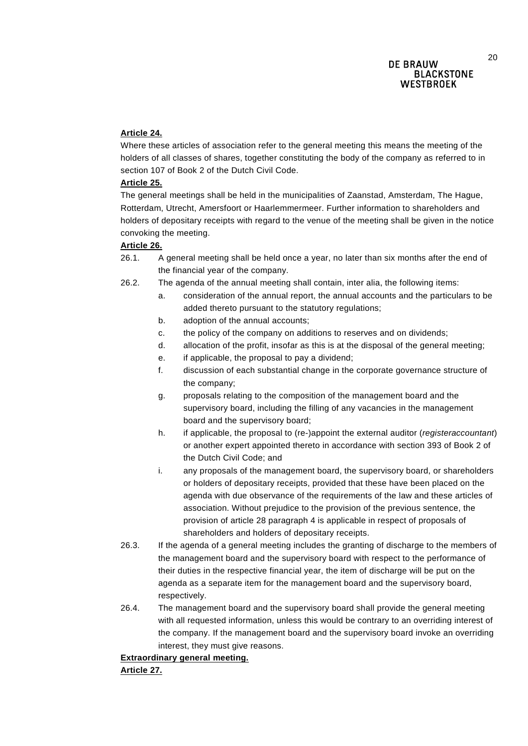#### **Article 24.**

Where these articles of association refer to the general meeting this means the meeting of the holders of all classes of shares, together constituting the body of the company as referred to in section 107 of Book 2 of the Dutch Civil Code.

#### **Article 25.**

The general meetings shall be held in the municipalities of Zaanstad, Amsterdam, The Hague, Rotterdam, Utrecht, Amersfoort or Haarlemmermeer. Further information to shareholders and holders of depositary receipts with regard to the venue of the meeting shall be given in the notice convoking the meeting.

#### **Article 26.**

- 26.1. A general meeting shall be held once a year, no later than six months after the end of the financial year of the company.
- 26.2. The agenda of the annual meeting shall contain, inter alia, the following items:
	- a. consideration of the annual report, the annual accounts and the particulars to be added thereto pursuant to the statutory regulations;
	- b. adoption of the annual accounts;
	- c. the policy of the company on additions to reserves and on dividends;
	- d. allocation of the profit, insofar as this is at the disposal of the general meeting;
	- e. if applicable, the proposal to pay a dividend;
	- f. discussion of each substantial change in the corporate governance structure of the company;
	- g. proposals relating to the composition of the management board and the supervisory board, including the filling of any vacancies in the management board and the supervisory board;
	- h. if applicable, the proposal to (re-)appoint the external auditor (*registeraccountant*) or another expert appointed thereto in accordance with section 393 of Book 2 of the Dutch Civil Code; and
	- i. any proposals of the management board, the supervisory board, or shareholders or holders of depositary receipts, provided that these have been placed on the agenda with due observance of the requirements of the law and these articles of association. Without prejudice to the provision of the previous sentence, the provision of article 28 paragraph 4 is applicable in respect of proposals of shareholders and holders of depositary receipts.
- 26.3. If the agenda of a general meeting includes the granting of discharge to the members of the management board and the supervisory board with respect to the performance of their duties in the respective financial year, the item of discharge will be put on the agenda as a separate item for the management board and the supervisory board, respectively.
- 26.4. The management board and the supervisory board shall provide the general meeting with all requested information, unless this would be contrary to an overriding interest of the company. If the management board and the supervisory board invoke an overriding interest, they must give reasons.

### **Extraordinary general meeting.**

**Article 27.**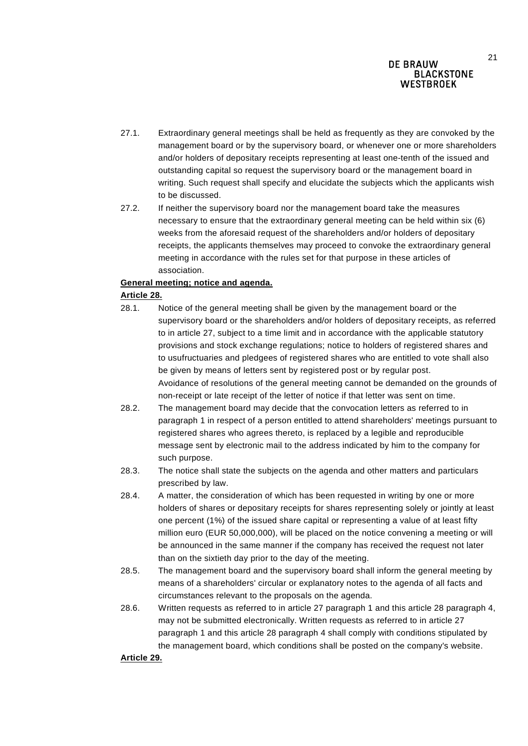- 27.1. Extraordinary general meetings shall be held as frequently as they are convoked by the management board or by the supervisory board, or whenever one or more shareholders and/or holders of depositary receipts representing at least one-tenth of the issued and outstanding capital so request the supervisory board or the management board in writing. Such request shall specify and elucidate the subjects which the applicants wish to be discussed.
- 27.2. If neither the supervisory board nor the management board take the measures necessary to ensure that the extraordinary general meeting can be held within six (6) weeks from the aforesaid request of the shareholders and/or holders of depositary receipts, the applicants themselves may proceed to convoke the extraordinary general meeting in accordance with the rules set for that purpose in these articles of association.

### **General meeting; notice and agenda.**

## **Article 28.**

- 28.1. Notice of the general meeting shall be given by the management board or the supervisory board or the shareholders and/or holders of depositary receipts, as referred to in article 27, subject to a time limit and in accordance with the applicable statutory provisions and stock exchange regulations; notice to holders of registered shares and to usufructuaries and pledgees of registered shares who are entitled to vote shall also be given by means of letters sent by registered post or by regular post. Avoidance of resolutions of the general meeting cannot be demanded on the grounds of non-receipt or late receipt of the letter of notice if that letter was sent on time.
- 28.2. The management board may decide that the convocation letters as referred to in paragraph 1 in respect of a person entitled to attend shareholders' meetings pursuant to registered shares who agrees thereto, is replaced by a legible and reproducible message sent by electronic mail to the address indicated by him to the company for such purpose.
- 28.3. The notice shall state the subjects on the agenda and other matters and particulars prescribed by law.
- 28.4. A matter, the consideration of which has been requested in writing by one or more holders of shares or depositary receipts for shares representing solely or jointly at least one percent (1%) of the issued share capital or representing a value of at least fifty million euro (EUR 50,000,000), will be placed on the notice convening a meeting or will be announced in the same manner if the company has received the request not later than on the sixtieth day prior to the day of the meeting.
- 28.5. The management board and the supervisory board shall inform the general meeting by means of a shareholders' circular or explanatory notes to the agenda of all facts and circumstances relevant to the proposals on the agenda.
- 28.6. Written requests as referred to in article 27 paragraph 1 and this article 28 paragraph 4, may not be submitted electronically. Written requests as referred to in article 27 paragraph 1 and this article 28 paragraph 4 shall comply with conditions stipulated by the management board, which conditions shall be posted on the company's website.

### **Article 29.**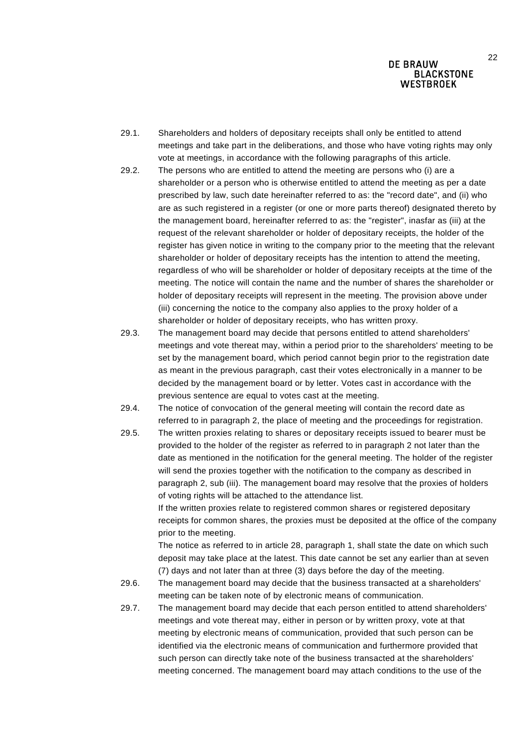- 29.1. Shareholders and holders of depositary receipts shall only be entitled to attend meetings and take part in the deliberations, and those who have voting rights may only vote at meetings, in accordance with the following paragraphs of this article.
- 29.2. The persons who are entitled to attend the meeting are persons who (i) are a shareholder or a person who is otherwise entitled to attend the meeting as per a date prescribed by law, such date hereinafter referred to as: the "record date", and (ii) who are as such registered in a register (or one or more parts thereof) designated thereto by the management board, hereinafter referred to as: the "register", inasfar as (iii) at the request of the relevant shareholder or holder of depositary receipts, the holder of the register has given notice in writing to the company prior to the meeting that the relevant shareholder or holder of depositary receipts has the intention to attend the meeting, regardless of who will be shareholder or holder of depositary receipts at the time of the meeting. The notice will contain the name and the number of shares the shareholder or holder of depositary receipts will represent in the meeting. The provision above under (iii) concerning the notice to the company also applies to the proxy holder of a shareholder or holder of depositary receipts, who has written proxy.
- 29.3. The management board may decide that persons entitled to attend shareholders' meetings and vote thereat may, within a period prior to the shareholders' meeting to be set by the management board, which period cannot begin prior to the registration date as meant in the previous paragraph, cast their votes electronically in a manner to be decided by the management board or by letter. Votes cast in accordance with the previous sentence are equal to votes cast at the meeting.
- 29.4. The notice of convocation of the general meeting will contain the record date as referred to in paragraph 2, the place of meeting and the proceedings for registration.
- 29.5. The written proxies relating to shares or depositary receipts issued to bearer must be provided to the holder of the register as referred to in paragraph 2 not later than the date as mentioned in the notification for the general meeting. The holder of the register will send the proxies together with the notification to the company as described in paragraph 2, sub (iii). The management board may resolve that the proxies of holders of voting rights will be attached to the attendance list. If the written proxies relate to registered common shares or registered depositary receipts for common shares, the proxies must be deposited at the office of the company prior to the meeting.

The notice as referred to in article 28, paragraph 1, shall state the date on which such deposit may take place at the latest. This date cannot be set any earlier than at seven (7) days and not later than at three (3) days before the day of the meeting.

- 29.6. The management board may decide that the business transacted at a shareholders' meeting can be taken note of by electronic means of communication.
- 29.7. The management board may decide that each person entitled to attend shareholders' meetings and vote thereat may, either in person or by written proxy, vote at that meeting by electronic means of communication, provided that such person can be identified via the electronic means of communication and furthermore provided that such person can directly take note of the business transacted at the shareholders' meeting concerned. The management board may attach conditions to the use of the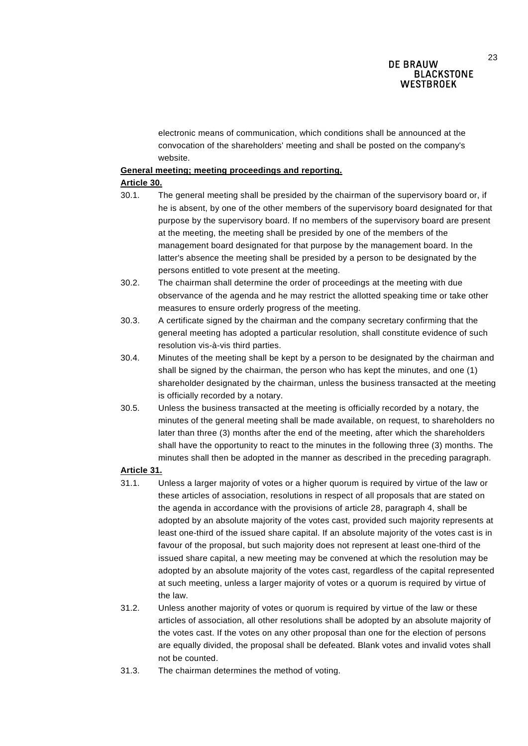23

electronic means of communication, which conditions shall be announced at the convocation of the shareholders' meeting and shall be posted on the company's website.

### **General meeting; meeting proceedings and reporting.**

### **Article 30.**

- 30.1. The general meeting shall be presided by the chairman of the supervisory board or, if he is absent, by one of the other members of the supervisory board designated for that purpose by the supervisory board. If no members of the supervisory board are present at the meeting, the meeting shall be presided by one of the members of the management board designated for that purpose by the management board. In the latter's absence the meeting shall be presided by a person to be designated by the persons entitled to vote present at the meeting.
- 30.2. The chairman shall determine the order of proceedings at the meeting with due observance of the agenda and he may restrict the allotted speaking time or take other measures to ensure orderly progress of the meeting.
- 30.3. A certificate signed by the chairman and the company secretary confirming that the general meeting has adopted a particular resolution, shall constitute evidence of such resolution vis-à-vis third parties.
- 30.4. Minutes of the meeting shall be kept by a person to be designated by the chairman and shall be signed by the chairman, the person who has kept the minutes, and one (1) shareholder designated by the chairman, unless the business transacted at the meeting is officially recorded by a notary.
- 30.5. Unless the business transacted at the meeting is officially recorded by a notary, the minutes of the general meeting shall be made available, on request, to shareholders no later than three (3) months after the end of the meeting, after which the shareholders shall have the opportunity to react to the minutes in the following three (3) months. The minutes shall then be adopted in the manner as described in the preceding paragraph.

### **Article 31.**

- 31.1. Unless a larger majority of votes or a higher quorum is required by virtue of the law or these articles of association, resolutions in respect of all proposals that are stated on the agenda in accordance with the provisions of article 28, paragraph 4, shall be adopted by an absolute majority of the votes cast, provided such majority represents at least one-third of the issued share capital. If an absolute majority of the votes cast is in favour of the proposal, but such majority does not represent at least one-third of the issued share capital, a new meeting may be convened at which the resolution may be adopted by an absolute majority of the votes cast, regardless of the capital represented at such meeting, unless a larger majority of votes or a quorum is required by virtue of the law.
- 31.2. Unless another majority of votes or quorum is required by virtue of the law or these articles of association, all other resolutions shall be adopted by an absolute majority of the votes cast. If the votes on any other proposal than one for the election of persons are equally divided, the proposal shall be defeated. Blank votes and invalid votes shall not be counted.
- 31.3. The chairman determines the method of voting.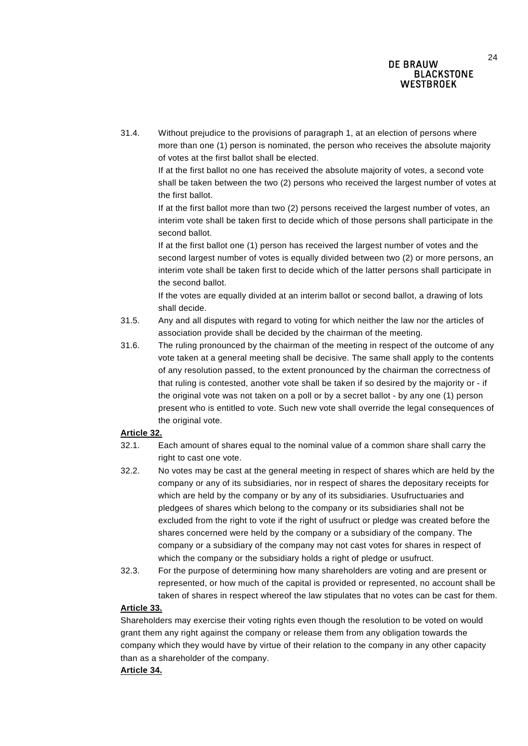31.4. Without prejudice to the provisions of paragraph 1, at an election of persons where more than one (1) person is nominated, the person who receives the absolute majority of votes at the first ballot shall be elected.

If at the first ballot no one has received the absolute majority of votes, a second vote shall be taken between the two (2) persons who received the largest number of votes at the first ballot.

If at the first ballot more than two (2) persons received the largest number of votes, an interim vote shall be taken first to decide which of those persons shall participate in the second ballot.

If at the first ballot one (1) person has received the largest number of votes and the second largest number of votes is equally divided between two (2) or more persons, an interim vote shall be taken first to decide which of the latter persons shall participate in the second ballot.

If the votes are equally divided at an interim ballot or second ballot, a drawing of lots shall decide.

- 31.5. Any and all disputes with regard to voting for which neither the law nor the articles of association provide shall be decided by the chairman of the meeting.
- 31.6. The ruling pronounced by the chairman of the meeting in respect of the outcome of any vote taken at a general meeting shall be decisive. The same shall apply to the contents of any resolution passed, to the extent pronounced by the chairman the correctness of that ruling is contested, another vote shall be taken if so desired by the majority or - if the original vote was not taken on a poll or by a secret ballot - by any one (1) person present who is entitled to vote. Such new vote shall override the legal consequences of the original vote.

### **Article 32.**

- 32.1. Each amount of shares equal to the nominal value of a common share shall carry the right to cast one vote.
- 32.2. No votes may be cast at the general meeting in respect of shares which are held by the company or any of its subsidiaries, nor in respect of shares the depositary receipts for which are held by the company or by any of its subsidiaries. Usufructuaries and pledgees of shares which belong to the company or its subsidiaries shall not be excluded from the right to vote if the right of usufruct or pledge was created before the shares concerned were held by the company or a subsidiary of the company. The company or a subsidiary of the company may not cast votes for shares in respect of which the company or the subsidiary holds a right of pledge or usufruct.
- 32.3. For the purpose of determining how many shareholders are voting and are present or represented, or how much of the capital is provided or represented, no account shall be taken of shares in respect whereof the law stipulates that no votes can be cast for them.

### **Article 33.**

Shareholders may exercise their voting rights even though the resolution to be voted on would grant them any right against the company or release them from any obligation towards the company which they would have by virtue of their relation to the company in any other capacity than as a shareholder of the company.

### **Article 34.**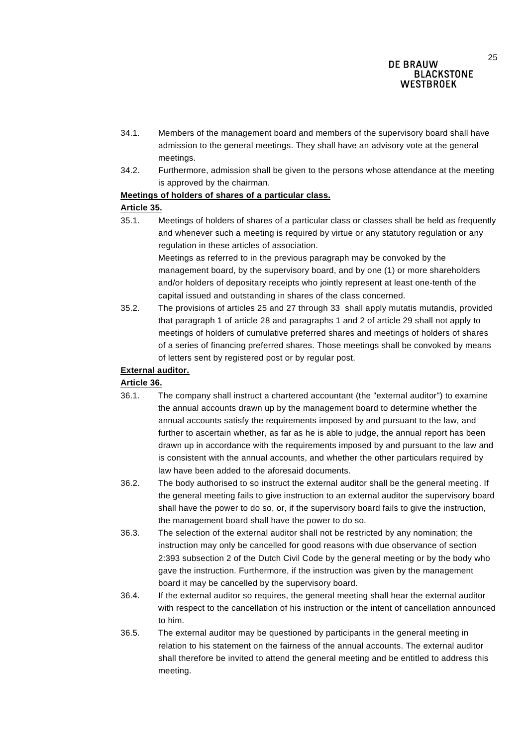- 34.1. Members of the management board and members of the supervisory board shall have admission to the general meetings. They shall have an advisory vote at the general meetings.
- 34.2. Furthermore, admission shall be given to the persons whose attendance at the meeting is approved by the chairman.

## **Meetings of holders of shares of a particular class.**

## **Article 35.**

35.1. Meetings of holders of shares of a particular class or classes shall be held as frequently and whenever such a meeting is required by virtue or any statutory regulation or any regulation in these articles of association.

Meetings as referred to in the previous paragraph may be convoked by the management board, by the supervisory board, and by one (1) or more shareholders and/or holders of depositary receipts who jointly represent at least one-tenth of the capital issued and outstanding in shares of the class concerned.

35.2. The provisions of articles 25 and 27 through 33 shall apply mutatis mutandis, provided that paragraph 1 of article 28 and paragraphs 1 and 2 of article 29 shall not apply to meetings of holders of cumulative preferred shares and meetings of holders of shares of a series of financing preferred shares. Those meetings shall be convoked by means of letters sent by registered post or by regular post.

## **External auditor.**

## **Article 36.**

- 36.1. The company shall instruct a chartered accountant (the "external auditor") to examine the annual accounts drawn up by the management board to determine whether the annual accounts satisfy the requirements imposed by and pursuant to the law, and further to ascertain whether, as far as he is able to judge, the annual report has been drawn up in accordance with the requirements imposed by and pursuant to the law and is consistent with the annual accounts, and whether the other particulars required by law have been added to the aforesaid documents.
- 36.2. The body authorised to so instruct the external auditor shall be the general meeting. If the general meeting fails to give instruction to an external auditor the supervisory board shall have the power to do so, or, if the supervisory board fails to give the instruction, the management board shall have the power to do so.
- 36.3. The selection of the external auditor shall not be restricted by any nomination; the instruction may only be cancelled for good reasons with due observance of section 2:393 subsection 2 of the Dutch Civil Code by the general meeting or by the body who gave the instruction. Furthermore, if the instruction was given by the management board it may be cancelled by the supervisory board.
- 36.4. If the external auditor so requires, the general meeting shall hear the external auditor with respect to the cancellation of his instruction or the intent of cancellation announced to him.
- 36.5. The external auditor may be questioned by participants in the general meeting in relation to his statement on the fairness of the annual accounts. The external auditor shall therefore be invited to attend the general meeting and be entitled to address this meeting.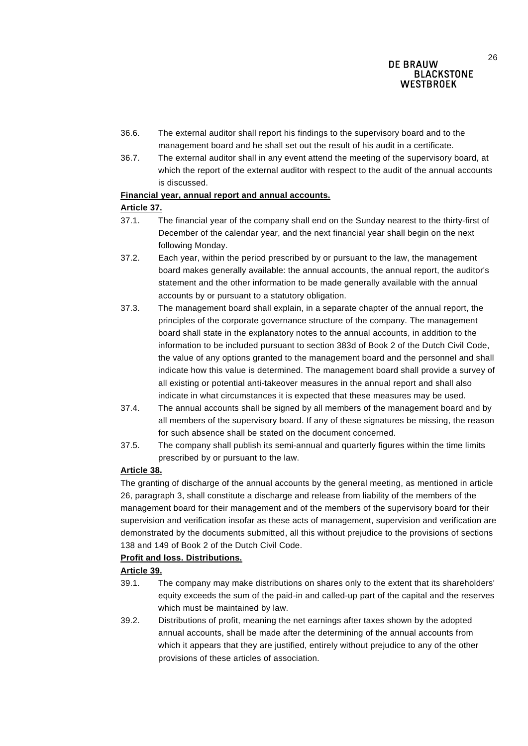- 36.6. The external auditor shall report his findings to the supervisory board and to the management board and he shall set out the result of his audit in a certificate.
- 36.7. The external auditor shall in any event attend the meeting of the supervisory board, at which the report of the external auditor with respect to the audit of the annual accounts is discussed.

## **Financial year, annual report and annual accounts.**

## **Article 37.**

- 37.1. The financial year of the company shall end on the Sunday nearest to the thirty-first of December of the calendar year, and the next financial year shall begin on the next following Monday.
- 37.2. Each year, within the period prescribed by or pursuant to the law, the management board makes generally available: the annual accounts, the annual report, the auditor's statement and the other information to be made generally available with the annual accounts by or pursuant to a statutory obligation.
- 37.3. The management board shall explain, in a separate chapter of the annual report, the principles of the corporate governance structure of the company. The management board shall state in the explanatory notes to the annual accounts, in addition to the information to be included pursuant to section 383d of Book 2 of the Dutch Civil Code, the value of any options granted to the management board and the personnel and shall indicate how this value is determined. The management board shall provide a survey of all existing or potential anti-takeover measures in the annual report and shall also indicate in what circumstances it is expected that these measures may be used.
- 37.4. The annual accounts shall be signed by all members of the management board and by all members of the supervisory board. If any of these signatures be missing, the reason for such absence shall be stated on the document concerned.
- 37.5. The company shall publish its semi-annual and quarterly figures within the time limits prescribed by or pursuant to the law.

# **Article 38.**

The granting of discharge of the annual accounts by the general meeting, as mentioned in article 26, paragraph 3, shall constitute a discharge and release from liability of the members of the management board for their management and of the members of the supervisory board for their supervision and verification insofar as these acts of management, supervision and verification are demonstrated by the documents submitted, all this without prejudice to the provisions of sections 138 and 149 of Book 2 of the Dutch Civil Code.

## **Profit and loss. Distributions.**

# **Article 39.**

- 39.1. The company may make distributions on shares only to the extent that its shareholders' equity exceeds the sum of the paid-in and called-up part of the capital and the reserves which must be maintained by law.
- 39.2. Distributions of profit, meaning the net earnings after taxes shown by the adopted annual accounts, shall be made after the determining of the annual accounts from which it appears that they are justified, entirely without prejudice to any of the other provisions of these articles of association.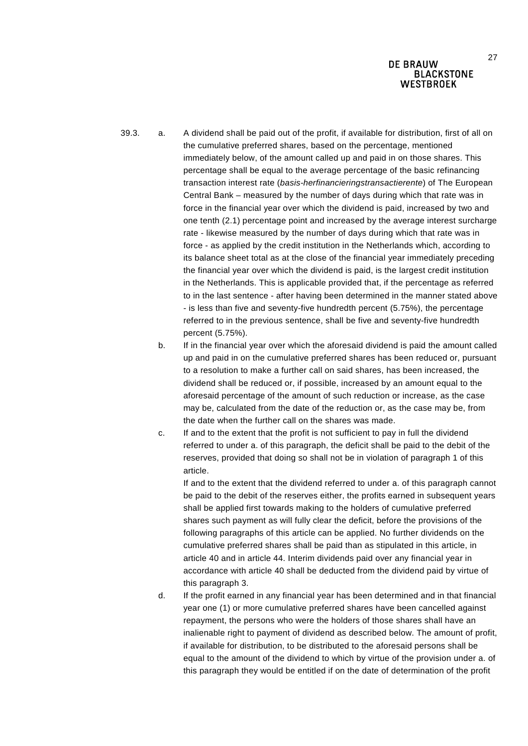- 39.3. a. A dividend shall be paid out of the profit, if available for distribution, first of all on the cumulative preferred shares, based on the percentage, mentioned immediately below, of the amount called up and paid in on those shares. This percentage shall be equal to the average percentage of the basic refinancing transaction interest rate (*basis-herfinancieringstransactierente*) of The European Central Bank – measured by the number of days during which that rate was in force in the financial year over which the dividend is paid, increased by two and one tenth (2.1) percentage point and increased by the average interest surcharge rate - likewise measured by the number of days during which that rate was in force - as applied by the credit institution in the Netherlands which, according to its balance sheet total as at the close of the financial year immediately preceding the financial year over which the dividend is paid, is the largest credit institution in the Netherlands. This is applicable provided that, if the percentage as referred to in the last sentence - after having been determined in the manner stated above - is less than five and seventy-five hundredth percent (5.75%), the percentage referred to in the previous sentence, shall be five and seventy-five hundredth percent (5.75%).
	- b. If in the financial year over which the aforesaid dividend is paid the amount called up and paid in on the cumulative preferred shares has been reduced or, pursuant to a resolution to make a further call on said shares, has been increased, the dividend shall be reduced or, if possible, increased by an amount equal to the aforesaid percentage of the amount of such reduction or increase, as the case may be, calculated from the date of the reduction or, as the case may be, from the date when the further call on the shares was made.
	- c. If and to the extent that the profit is not sufficient to pay in full the dividend referred to under a. of this paragraph, the deficit shall be paid to the debit of the reserves, provided that doing so shall not be in violation of paragraph 1 of this article.

If and to the extent that the dividend referred to under a. of this paragraph cannot be paid to the debit of the reserves either, the profits earned in subsequent years shall be applied first towards making to the holders of cumulative preferred shares such payment as will fully clear the deficit, before the provisions of the following paragraphs of this article can be applied. No further dividends on the cumulative preferred shares shall be paid than as stipulated in this article, in article 40 and in article 44. Interim dividends paid over any financial year in accordance with article 40 shall be deducted from the dividend paid by virtue of this paragraph 3.

d. If the profit earned in any financial year has been determined and in that financial year one (1) or more cumulative preferred shares have been cancelled against repayment, the persons who were the holders of those shares shall have an inalienable right to payment of dividend as described below. The amount of profit, if available for distribution, to be distributed to the aforesaid persons shall be equal to the amount of the dividend to which by virtue of the provision under a. of this paragraph they would be entitled if on the date of determination of the profit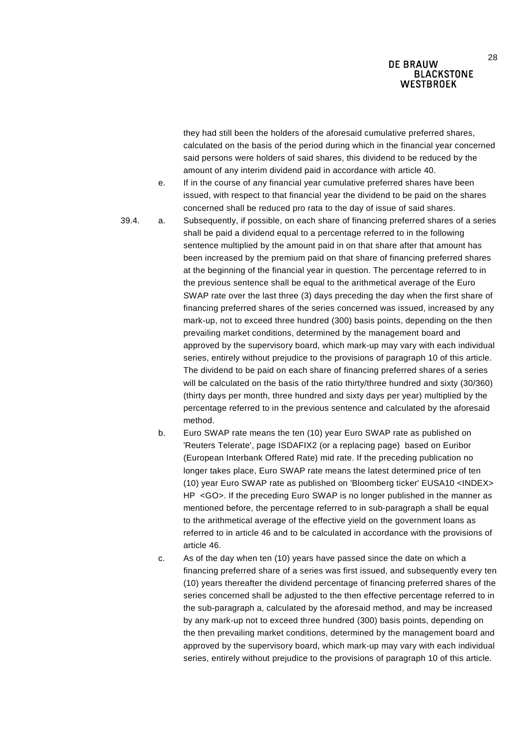they had still been the holders of the aforesaid cumulative preferred shares, calculated on the basis of the period during which in the financial year concerned said persons were holders of said shares, this dividend to be reduced by the amount of any interim dividend paid in accordance with article 40.

e. If in the course of any financial year cumulative preferred shares have been issued, with respect to that financial year the dividend to be paid on the shares concerned shall be reduced pro rata to the day of issue of said shares.

- 39.4. a. Subsequently, if possible, on each share of financing preferred shares of a series shall be paid a dividend equal to a percentage referred to in the following sentence multiplied by the amount paid in on that share after that amount has been increased by the premium paid on that share of financing preferred shares at the beginning of the financial year in question. The percentage referred to in the previous sentence shall be equal to the arithmetical average of the Euro SWAP rate over the last three (3) days preceding the day when the first share of financing preferred shares of the series concerned was issued, increased by any mark-up, not to exceed three hundred (300) basis points, depending on the then prevailing market conditions, determined by the management board and approved by the supervisory board, which mark-up may vary with each individual series, entirely without prejudice to the provisions of paragraph 10 of this article. The dividend to be paid on each share of financing preferred shares of a series will be calculated on the basis of the ratio thirty/three hundred and sixty (30/360) (thirty days per month, three hundred and sixty days per year) multiplied by the percentage referred to in the previous sentence and calculated by the aforesaid method.
	- b. Euro SWAP rate means the ten (10) year Euro SWAP rate as published on 'Reuters Telerate', page ISDAFIX2 (or a replacing page) based on Euribor (European Interbank Offered Rate) mid rate. If the preceding publication no longer takes place, Euro SWAP rate means the latest determined price of ten (10) year Euro SWAP rate as published on 'Bloomberg ticker' EUSA10 <INDEX> HP <GO>. If the preceding Euro SWAP is no longer published in the manner as mentioned before, the percentage referred to in sub-paragraph a shall be equal to the arithmetical average of the effective yield on the government loans as referred to in article 46 and to be calculated in accordance with the provisions of article 46.
	- c. As of the day when ten (10) years have passed since the date on which a financing preferred share of a series was first issued, and subsequently every ten (10) years thereafter the dividend percentage of financing preferred shares of the series concerned shall be adjusted to the then effective percentage referred to in the sub-paragraph a, calculated by the aforesaid method, and may be increased by any mark-up not to exceed three hundred (300) basis points, depending on the then prevailing market conditions, determined by the management board and approved by the supervisory board, which mark-up may vary with each individual series, entirely without prejudice to the provisions of paragraph 10 of this article.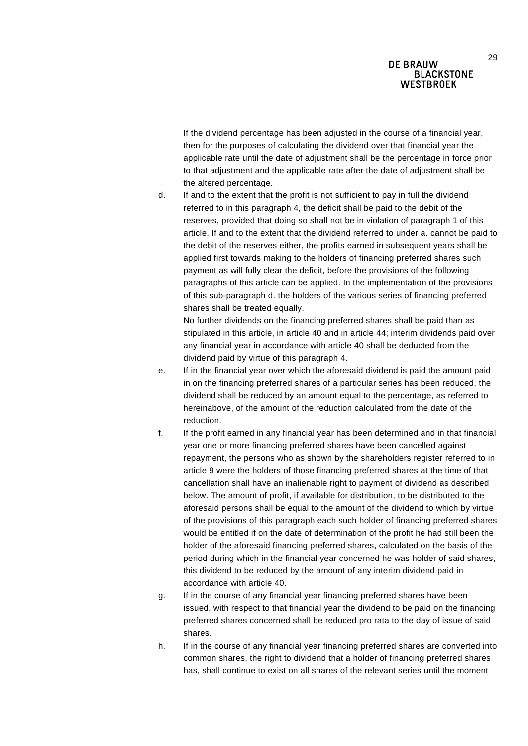If the dividend percentage has been adjusted in the course of a financial year, then for the purposes of calculating the dividend over that financial year the applicable rate until the date of adjustment shall be the percentage in force prior to that adjustment and the applicable rate after the date of adjustment shall be the altered percentage.

d. If and to the extent that the profit is not sufficient to pay in full the dividend referred to in this paragraph 4, the deficit shall be paid to the debit of the reserves, provided that doing so shall not be in violation of paragraph 1 of this article. If and to the extent that the dividend referred to under a. cannot be paid to the debit of the reserves either, the profits earned in subsequent years shall be applied first towards making to the holders of financing preferred shares such payment as will fully clear the deficit, before the provisions of the following paragraphs of this article can be applied. In the implementation of the provisions of this sub-paragraph d. the holders of the various series of financing preferred shares shall be treated equally.

No further dividends on the financing preferred shares shall be paid than as stipulated in this article, in article 40 and in article 44; interim dividends paid over any financial year in accordance with article 40 shall be deducted from the dividend paid by virtue of this paragraph 4.

- e. If in the financial year over which the aforesaid dividend is paid the amount paid in on the financing preferred shares of a particular series has been reduced, the dividend shall be reduced by an amount equal to the percentage, as referred to hereinabove, of the amount of the reduction calculated from the date of the reduction.
- f. If the profit earned in any financial year has been determined and in that financial year one or more financing preferred shares have been cancelled against repayment, the persons who as shown by the shareholders register referred to in article 9 were the holders of those financing preferred shares at the time of that cancellation shall have an inalienable right to payment of dividend as described below. The amount of profit, if available for distribution, to be distributed to the aforesaid persons shall be equal to the amount of the dividend to which by virtue of the provisions of this paragraph each such holder of financing preferred shares would be entitled if on the date of determination of the profit he had still been the holder of the aforesaid financing preferred shares, calculated on the basis of the period during which in the financial year concerned he was holder of said shares, this dividend to be reduced by the amount of any interim dividend paid in accordance with article 40.
- g. If in the course of any financial year financing preferred shares have been issued, with respect to that financial year the dividend to be paid on the financing preferred shares concerned shall be reduced pro rata to the day of issue of said shares.
- h. If in the course of any financial year financing preferred shares are converted into common shares, the right to dividend that a holder of financing preferred shares has, shall continue to exist on all shares of the relevant series until the moment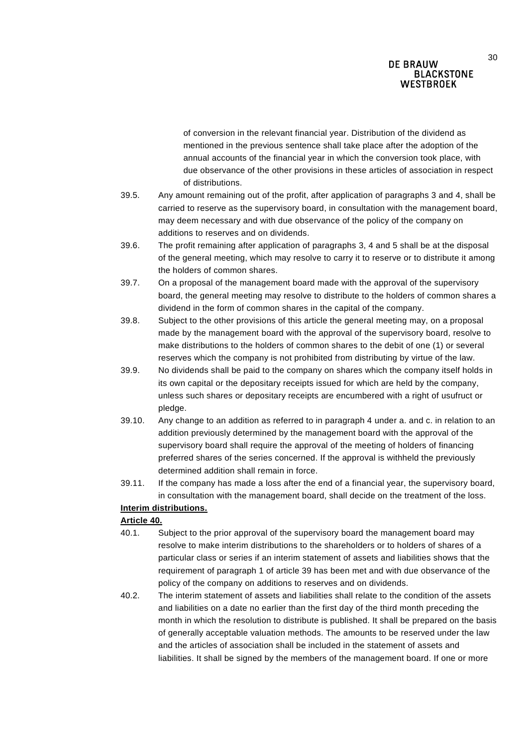of conversion in the relevant financial year. Distribution of the dividend as mentioned in the previous sentence shall take place after the adoption of the annual accounts of the financial year in which the conversion took place, with due observance of the other provisions in these articles of association in respect of distributions.

- 39.5. Any amount remaining out of the profit, after application of paragraphs 3 and 4, shall be carried to reserve as the supervisory board, in consultation with the management board, may deem necessary and with due observance of the policy of the company on additions to reserves and on dividends.
- 39.6. The profit remaining after application of paragraphs 3, 4 and 5 shall be at the disposal of the general meeting, which may resolve to carry it to reserve or to distribute it among the holders of common shares.
- 39.7. On a proposal of the management board made with the approval of the supervisory board, the general meeting may resolve to distribute to the holders of common shares a dividend in the form of common shares in the capital of the company.
- 39.8. Subject to the other provisions of this article the general meeting may, on a proposal made by the management board with the approval of the supervisory board, resolve to make distributions to the holders of common shares to the debit of one (1) or several reserves which the company is not prohibited from distributing by virtue of the law.
- 39.9. No dividends shall be paid to the company on shares which the company itself holds in its own capital or the depositary receipts issued for which are held by the company, unless such shares or depositary receipts are encumbered with a right of usufruct or pledge.
- 39.10. Any change to an addition as referred to in paragraph 4 under a. and c. in relation to an addition previously determined by the management board with the approval of the supervisory board shall require the approval of the meeting of holders of financing preferred shares of the series concerned. If the approval is withheld the previously determined addition shall remain in force.
- 39.11. If the company has made a loss after the end of a financial year, the supervisory board, in consultation with the management board, shall decide on the treatment of the loss.

# **Interim distributions.**

### **Article 40.**

- 40.1. Subject to the prior approval of the supervisory board the management board may resolve to make interim distributions to the shareholders or to holders of shares of a particular class or series if an interim statement of assets and liabilities shows that the requirement of paragraph 1 of article 39 has been met and with due observance of the policy of the company on additions to reserves and on dividends.
- 40.2. The interim statement of assets and liabilities shall relate to the condition of the assets and liabilities on a date no earlier than the first day of the third month preceding the month in which the resolution to distribute is published. It shall be prepared on the basis of generally acceptable valuation methods. The amounts to be reserved under the law and the articles of association shall be included in the statement of assets and liabilities. It shall be signed by the members of the management board. If one or more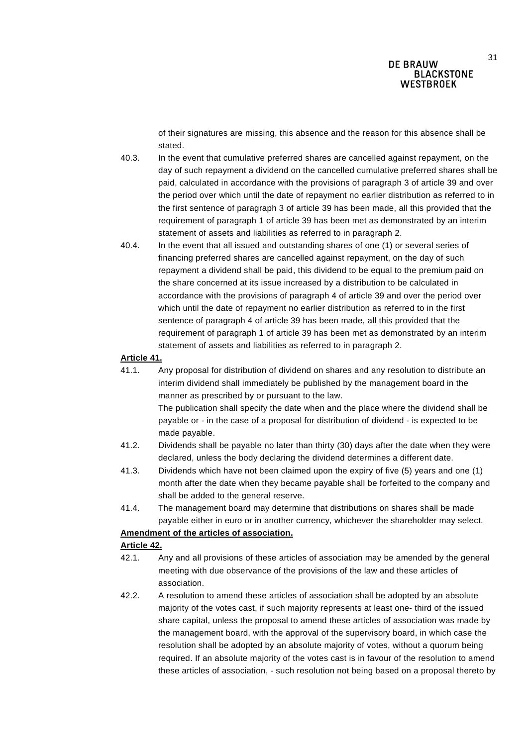of their signatures are missing, this absence and the reason for this absence shall be stated.

- 40.3. In the event that cumulative preferred shares are cancelled against repayment, on the day of such repayment a dividend on the cancelled cumulative preferred shares shall be paid, calculated in accordance with the provisions of paragraph 3 of article 39 and over the period over which until the date of repayment no earlier distribution as referred to in the first sentence of paragraph 3 of article 39 has been made, all this provided that the requirement of paragraph 1 of article 39 has been met as demonstrated by an interim statement of assets and liabilities as referred to in paragraph 2.
- 40.4. In the event that all issued and outstanding shares of one (1) or several series of financing preferred shares are cancelled against repayment, on the day of such repayment a dividend shall be paid, this dividend to be equal to the premium paid on the share concerned at its issue increased by a distribution to be calculated in accordance with the provisions of paragraph 4 of article 39 and over the period over which until the date of repayment no earlier distribution as referred to in the first sentence of paragraph 4 of article 39 has been made, all this provided that the requirement of paragraph 1 of article 39 has been met as demonstrated by an interim statement of assets and liabilities as referred to in paragraph 2.

### **Article 41.**

- 41.1. Any proposal for distribution of dividend on shares and any resolution to distribute an interim dividend shall immediately be published by the management board in the manner as prescribed by or pursuant to the law. The publication shall specify the date when and the place where the dividend shall be payable or - in the case of a proposal for distribution of dividend - is expected to be made payable.
- 41.2. Dividends shall be payable no later than thirty (30) days after the date when they were declared, unless the body declaring the dividend determines a different date.
- 41.3. Dividends which have not been claimed upon the expiry of five (5) years and one (1) month after the date when they became payable shall be forfeited to the company and shall be added to the general reserve.
- 41.4. The management board may determine that distributions on shares shall be made payable either in euro or in another currency, whichever the shareholder may select.

#### **Amendment of the articles of association.**

#### **Article 42.**

- 42.1. Any and all provisions of these articles of association may be amended by the general meeting with due observance of the provisions of the law and these articles of association.
- 42.2. A resolution to amend these articles of association shall be adopted by an absolute majority of the votes cast, if such majority represents at least one- third of the issued share capital, unless the proposal to amend these articles of association was made by the management board, with the approval of the supervisory board, in which case the resolution shall be adopted by an absolute majority of votes, without a quorum being required. If an absolute majority of the votes cast is in favour of the resolution to amend these articles of association, - such resolution not being based on a proposal thereto by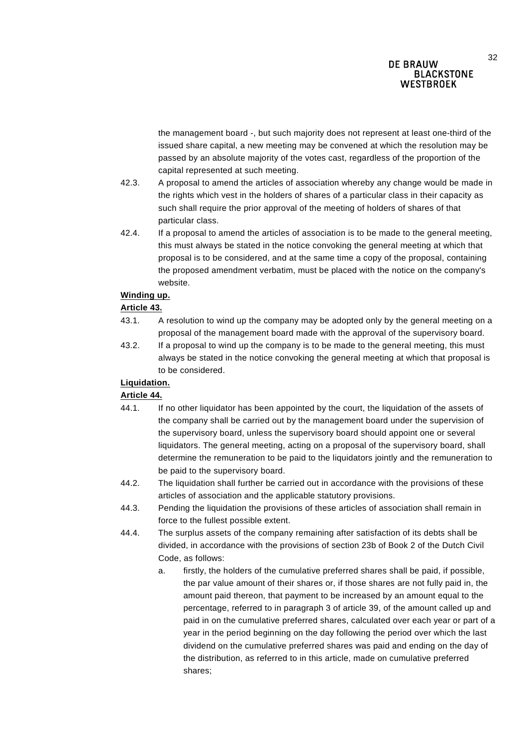the management board -, but such majority does not represent at least one-third of the issued share capital, a new meeting may be convened at which the resolution may be passed by an absolute majority of the votes cast, regardless of the proportion of the capital represented at such meeting.

- 42.3. A proposal to amend the articles of association whereby any change would be made in the rights which vest in the holders of shares of a particular class in their capacity as such shall require the prior approval of the meeting of holders of shares of that particular class.
- 42.4. If a proposal to amend the articles of association is to be made to the general meeting, this must always be stated in the notice convoking the general meeting at which that proposal is to be considered, and at the same time a copy of the proposal, containing the proposed amendment verbatim, must be placed with the notice on the company's website.

#### **Winding up.**

#### **Article 43.**

- 43.1. A resolution to wind up the company may be adopted only by the general meeting on a proposal of the management board made with the approval of the supervisory board.
- 43.2. If a proposal to wind up the company is to be made to the general meeting, this must always be stated in the notice convoking the general meeting at which that proposal is to be considered.

### **Liquidation.**

### **Article 44.**

- 44.1. If no other liquidator has been appointed by the court, the liquidation of the assets of the company shall be carried out by the management board under the supervision of the supervisory board, unless the supervisory board should appoint one or several liquidators. The general meeting, acting on a proposal of the supervisory board, shall determine the remuneration to be paid to the liquidators jointly and the remuneration to be paid to the supervisory board.
- 44.2. The liquidation shall further be carried out in accordance with the provisions of these articles of association and the applicable statutory provisions.
- 44.3. Pending the liquidation the provisions of these articles of association shall remain in force to the fullest possible extent.
- 44.4. The surplus assets of the company remaining after satisfaction of its debts shall be divided, in accordance with the provisions of section 23b of Book 2 of the Dutch Civil Code, as follows:
	- a. firstly, the holders of the cumulative preferred shares shall be paid, if possible, the par value amount of their shares or, if those shares are not fully paid in, the amount paid thereon, that payment to be increased by an amount equal to the percentage, referred to in paragraph 3 of article 39, of the amount called up and paid in on the cumulative preferred shares, calculated over each year or part of a year in the period beginning on the day following the period over which the last dividend on the cumulative preferred shares was paid and ending on the day of the distribution, as referred to in this article, made on cumulative preferred shares;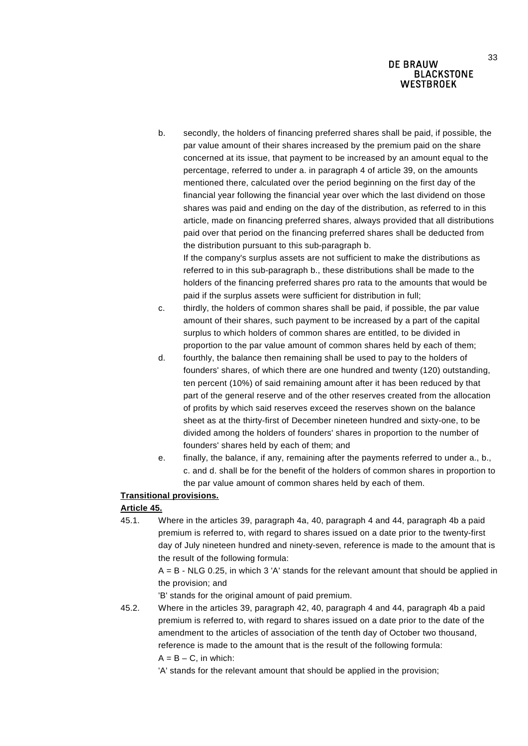b. secondly, the holders of financing preferred shares shall be paid, if possible, the par value amount of their shares increased by the premium paid on the share concerned at its issue, that payment to be increased by an amount equal to the percentage, referred to under a. in paragraph 4 of article 39, on the amounts mentioned there, calculated over the period beginning on the first day of the financial year following the financial year over which the last dividend on those shares was paid and ending on the day of the distribution, as referred to in this article, made on financing preferred shares, always provided that all distributions paid over that period on the financing preferred shares shall be deducted from the distribution pursuant to this sub-paragraph b. If the company's surplus assets are not sufficient to make the distributions as

referred to in this sub-paragraph b., these distributions shall be made to the holders of the financing preferred shares pro rata to the amounts that would be paid if the surplus assets were sufficient for distribution in full;

- c. thirdly, the holders of common shares shall be paid, if possible, the par value amount of their shares, such payment to be increased by a part of the capital surplus to which holders of common shares are entitled, to be divided in proportion to the par value amount of common shares held by each of them;
- d. fourthly, the balance then remaining shall be used to pay to the holders of founders' shares, of which there are one hundred and twenty (120) outstanding, ten percent (10%) of said remaining amount after it has been reduced by that part of the general reserve and of the other reserves created from the allocation of profits by which said reserves exceed the reserves shown on the balance sheet as at the thirty-first of December nineteen hundred and sixty-one, to be divided among the holders of founders' shares in proportion to the number of founders' shares held by each of them; and
- e. finally, the balance, if any, remaining after the payments referred to under a., b., c. and d. shall be for the benefit of the holders of common shares in proportion to the par value amount of common shares held by each of them.

## **Transitional provisions.**

## **Article 45.**

45.1. Where in the articles 39, paragraph 4a, 40, paragraph 4 and 44, paragraph 4b a paid premium is referred to, with regard to shares issued on a date prior to the twenty-first day of July nineteen hundred and ninety-seven, reference is made to the amount that is the result of the following formula:

> $A = B - NLG$  0.25, in which 3 'A' stands for the relevant amount that should be applied in the provision; and

'B' stands for the original amount of paid premium.

45.2. Where in the articles 39, paragraph 42, 40, paragraph 4 and 44, paragraph 4b a paid premium is referred to, with regard to shares issued on a date prior to the date of the amendment to the articles of association of the tenth day of October two thousand, reference is made to the amount that is the result of the following formula:  $A = B - C$ , in which:

'A' stands for the relevant amount that should be applied in the provision;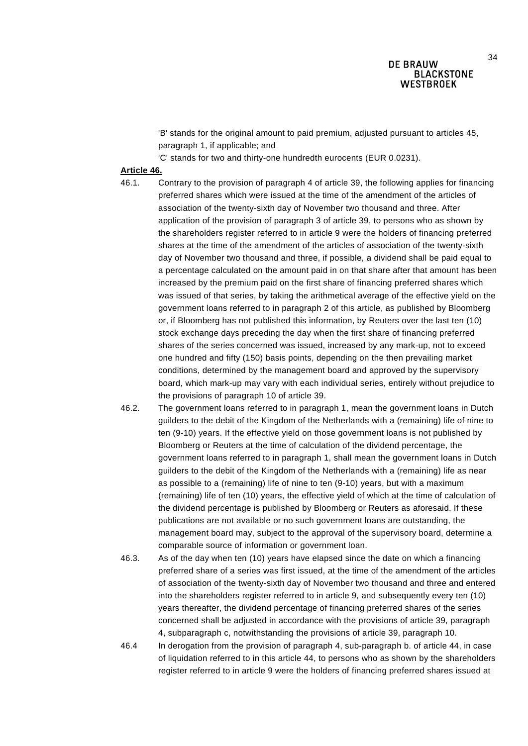'B' stands for the original amount to paid premium, adjusted pursuant to articles 45, paragraph 1, if applicable; and

'C' stands for two and thirty-one hundredth eurocents (EUR 0.0231).

#### **Article 46.**

46.1. Contrary to the provision of paragraph 4 of article 39, the following applies for financing preferred shares which were issued at the time of the amendment of the articles of association of the twenty-sixth day of November two thousand and three. After application of the provision of paragraph 3 of article 39, to persons who as shown by the shareholders register referred to in article 9 were the holders of financing preferred shares at the time of the amendment of the articles of association of the twenty-sixth day of November two thousand and three, if possible, a dividend shall be paid equal to a percentage calculated on the amount paid in on that share after that amount has been increased by the premium paid on the first share of financing preferred shares which was issued of that series, by taking the arithmetical average of the effective yield on the government loans referred to in paragraph 2 of this article, as published by Bloomberg or, if Bloomberg has not published this information, by Reuters over the last ten (10) stock exchange days preceding the day when the first share of financing preferred shares of the series concerned was issued, increased by any mark-up, not to exceed one hundred and fifty (150) basis points, depending on the then prevailing market conditions, determined by the management board and approved by the supervisory board, which mark-up may vary with each individual series, entirely without prejudice to the provisions of paragraph 10 of article 39.

- 46.2. The government loans referred to in paragraph 1, mean the government loans in Dutch guilders to the debit of the Kingdom of the Netherlands with a (remaining) life of nine to ten (9-10) years. If the effective yield on those government loans is not published by Bloomberg or Reuters at the time of calculation of the dividend percentage, the government loans referred to in paragraph 1, shall mean the government loans in Dutch guilders to the debit of the Kingdom of the Netherlands with a (remaining) life as near as possible to a (remaining) life of nine to ten (9-10) years, but with a maximum (remaining) life of ten (10) years, the effective yield of which at the time of calculation of the dividend percentage is published by Bloomberg or Reuters as aforesaid. If these publications are not available or no such government loans are outstanding, the management board may, subject to the approval of the supervisory board, determine a comparable source of information or government loan.
- 46.3. As of the day when ten (10) years have elapsed since the date on which a financing preferred share of a series was first issued, at the time of the amendment of the articles of association of the twenty-sixth day of November two thousand and three and entered into the shareholders register referred to in article 9, and subsequently every ten (10) years thereafter, the dividend percentage of financing preferred shares of the series concerned shall be adjusted in accordance with the provisions of article 39, paragraph 4, subparagraph c, notwithstanding the provisions of article 39, paragraph 10.

46.4 In derogation from the provision of paragraph 4, sub-paragraph b. of article 44, in case of liquidation referred to in this article 44, to persons who as shown by the shareholders register referred to in article 9 were the holders of financing preferred shares issued at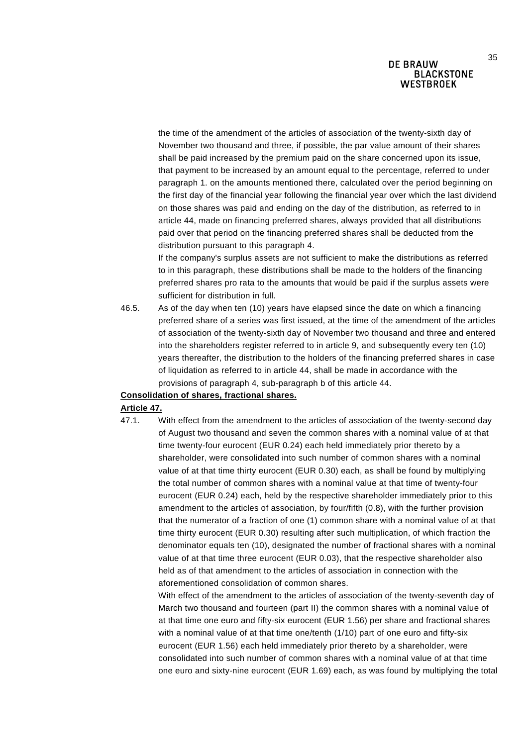the time of the amendment of the articles of association of the twenty-sixth day of November two thousand and three, if possible, the par value amount of their shares shall be paid increased by the premium paid on the share concerned upon its issue, that payment to be increased by an amount equal to the percentage, referred to under paragraph 1. on the amounts mentioned there, calculated over the period beginning on the first day of the financial year following the financial year over which the last dividend on those shares was paid and ending on the day of the distribution, as referred to in article 44, made on financing preferred shares, always provided that all distributions paid over that period on the financing preferred shares shall be deducted from the distribution pursuant to this paragraph 4.

If the company's surplus assets are not sufficient to make the distributions as referred to in this paragraph, these distributions shall be made to the holders of the financing preferred shares pro rata to the amounts that would be paid if the surplus assets were sufficient for distribution in full.

46.5. As of the day when ten (10) years have elapsed since the date on which a financing preferred share of a series was first issued, at the time of the amendment of the articles of association of the twenty-sixth day of November two thousand and three and entered into the shareholders register referred to in article 9, and subsequently every ten (10) years thereafter, the distribution to the holders of the financing preferred shares in case of liquidation as referred to in article 44, shall be made in accordance with the provisions of paragraph 4, sub-paragraph b of this article 44.

#### **Consolidation of shares, fractional shares.**

#### **Article 47.**

47.1. With effect from the amendment to the articles of association of the twenty-second day of August two thousand and seven the common shares with a nominal value of at that time twenty-four eurocent (EUR 0.24) each held immediately prior thereto by a shareholder, were consolidated into such number of common shares with a nominal value of at that time thirty eurocent (EUR 0.30) each, as shall be found by multiplying the total number of common shares with a nominal value at that time of twenty-four eurocent (EUR 0.24) each, held by the respective shareholder immediately prior to this amendment to the articles of association, by four/fifth (0.8), with the further provision that the numerator of a fraction of one (1) common share with a nominal value of at that time thirty eurocent (EUR 0.30) resulting after such multiplication, of which fraction the denominator equals ten (10), designated the number of fractional shares with a nominal value of at that time three eurocent (EUR 0.03), that the respective shareholder also held as of that amendment to the articles of association in connection with the aforementioned consolidation of common shares.

With effect of the amendment to the articles of association of the twenty-seventh day of March two thousand and fourteen (part II) the common shares with a nominal value of at that time one euro and fifty-six eurocent (EUR 1.56) per share and fractional shares with a nominal value of at that time one/tenth (1/10) part of one euro and fifty-six eurocent (EUR 1.56) each held immediately prior thereto by a shareholder, were consolidated into such number of common shares with a nominal value of at that time one euro and sixty-nine eurocent (EUR 1.69) each, as was found by multiplying the total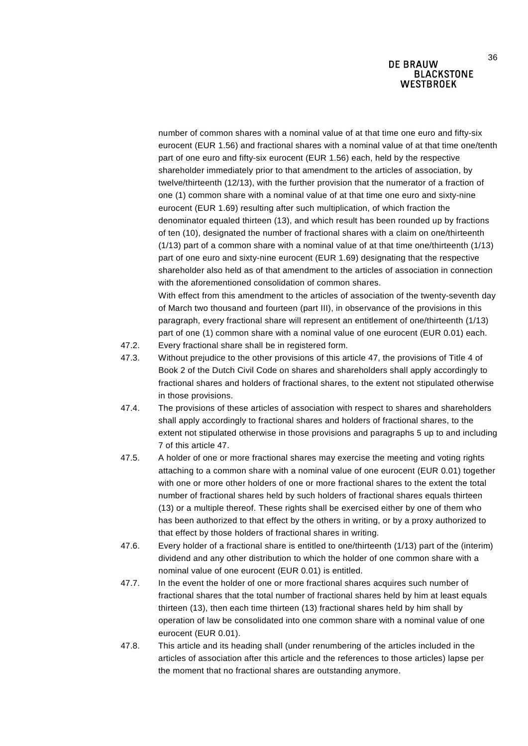number of common shares with a nominal value of at that time one euro and fifty-six eurocent (EUR 1.56) and fractional shares with a nominal value of at that time one/tenth part of one euro and fifty-six eurocent (EUR 1.56) each, held by the respective shareholder immediately prior to that amendment to the articles of association, by twelve/thirteenth (12/13), with the further provision that the numerator of a fraction of one (1) common share with a nominal value of at that time one euro and sixty-nine eurocent (EUR 1.69) resulting after such multiplication, of which fraction the denominator equaled thirteen (13), and which result has been rounded up by fractions of ten (10), designated the number of fractional shares with a claim on one/thirteenth (1/13) part of a common share with a nominal value of at that time one/thirteenth (1/13) part of one euro and sixty-nine eurocent (EUR 1.69) designating that the respective shareholder also held as of that amendment to the articles of association in connection with the aforementioned consolidation of common shares.

With effect from this amendment to the articles of association of the twenty-seventh day of March two thousand and fourteen (part III), in observance of the provisions in this paragraph, every fractional share will represent an entitlement of one/thirteenth (1/13) part of one (1) common share with a nominal value of one eurocent (EUR 0.01) each.

- 47.2. Every fractional share shall be in registered form.
- 47.3. Without prejudice to the other provisions of this article 47, the provisions of Title 4 of Book 2 of the Dutch Civil Code on shares and shareholders shall apply accordingly to fractional shares and holders of fractional shares, to the extent not stipulated otherwise in those provisions.
- 47.4. The provisions of these articles of association with respect to shares and shareholders shall apply accordingly to fractional shares and holders of fractional shares, to the extent not stipulated otherwise in those provisions and paragraphs 5 up to and including 7 of this article 47.
- 47.5. A holder of one or more fractional shares may exercise the meeting and voting rights attaching to a common share with a nominal value of one eurocent (EUR 0.01) together with one or more other holders of one or more fractional shares to the extent the total number of fractional shares held by such holders of fractional shares equals thirteen (13) or a multiple thereof. These rights shall be exercised either by one of them who has been authorized to that effect by the others in writing, or by a proxy authorized to that effect by those holders of fractional shares in writing.
- 47.6. Every holder of a fractional share is entitled to one/thirteenth (1/13) part of the (interim) dividend and any other distribution to which the holder of one common share with a nominal value of one eurocent (EUR 0.01) is entitled.
- 47.7. In the event the holder of one or more fractional shares acquires such number of fractional shares that the total number of fractional shares held by him at least equals thirteen (13), then each time thirteen (13) fractional shares held by him shall by operation of law be consolidated into one common share with a nominal value of one eurocent (EUR 0.01).
- 47.8. This article and its heading shall (under renumbering of the articles included in the articles of association after this article and the references to those articles) lapse per the moment that no fractional shares are outstanding anymore.